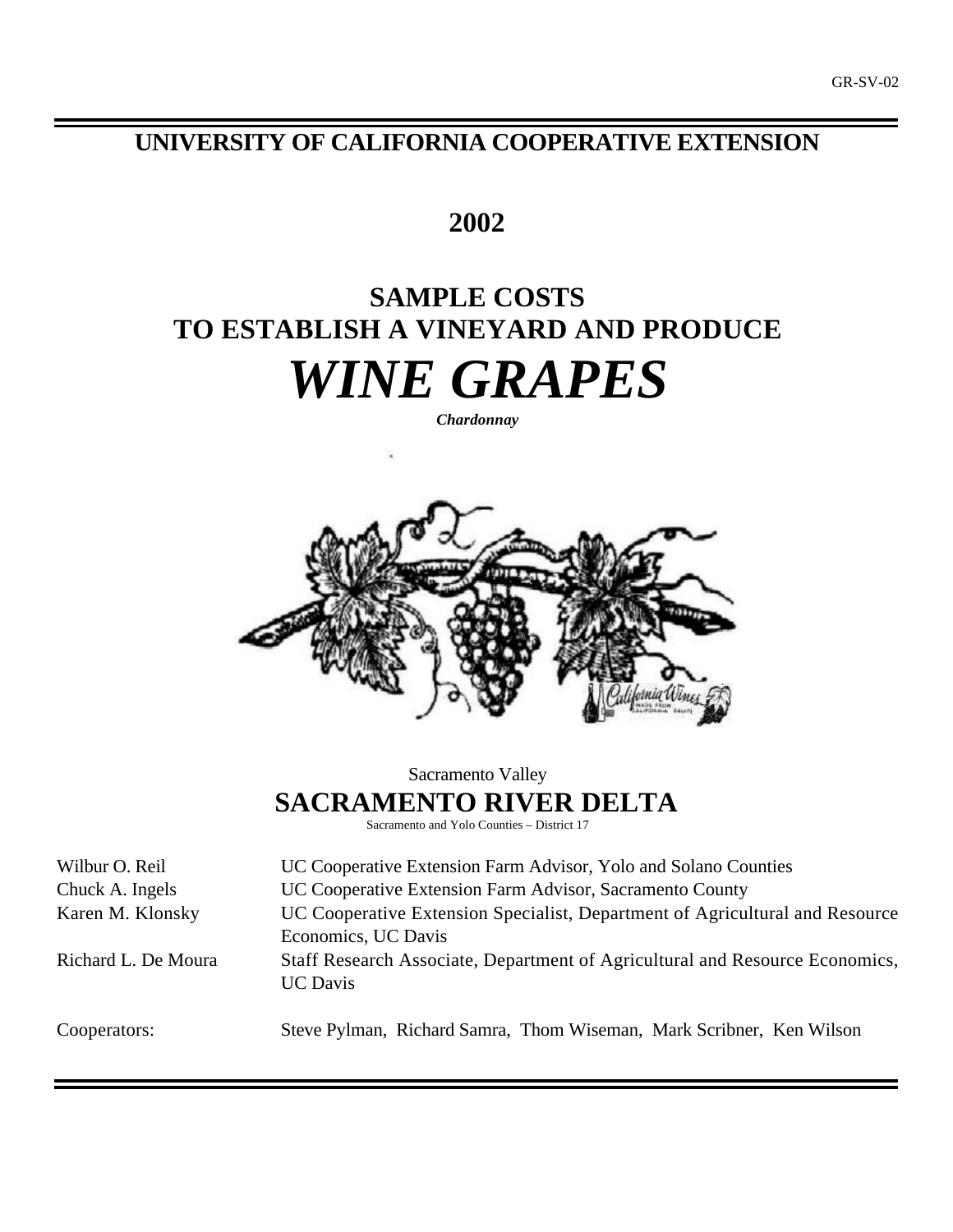# **UNIVERSITY OF CALIFORNIA COOPERATIVE EXTENSION**

# **2002**

# **SAMPLE COSTS TO ESTABLISH A VINEYARD AND PRODUCE** *WINE GRAPES*

*Chardonnay*



Sacramento Valley **SACRAMENTO RIVER DELTA** Sacramento and Yolo Counties – District 17

Wilbur O. Reil **LEC Cooperative Extension Farm Advisor**, Yolo and Solano Counties Chuck A. Ingels UC Cooperative Extension Farm Advisor, Sacramento County Karen M. Klonsky UC Cooperative Extension Specialist, Department of Agricultural and Resource Economics, UC Davis Richard L. De Moura Staff Research Associate, Department of Agricultural and Resource Economics, UC Davis

Cooperators: Steve Pylman, Richard Samra, Thom Wiseman, Mark Scribner, Ken Wilson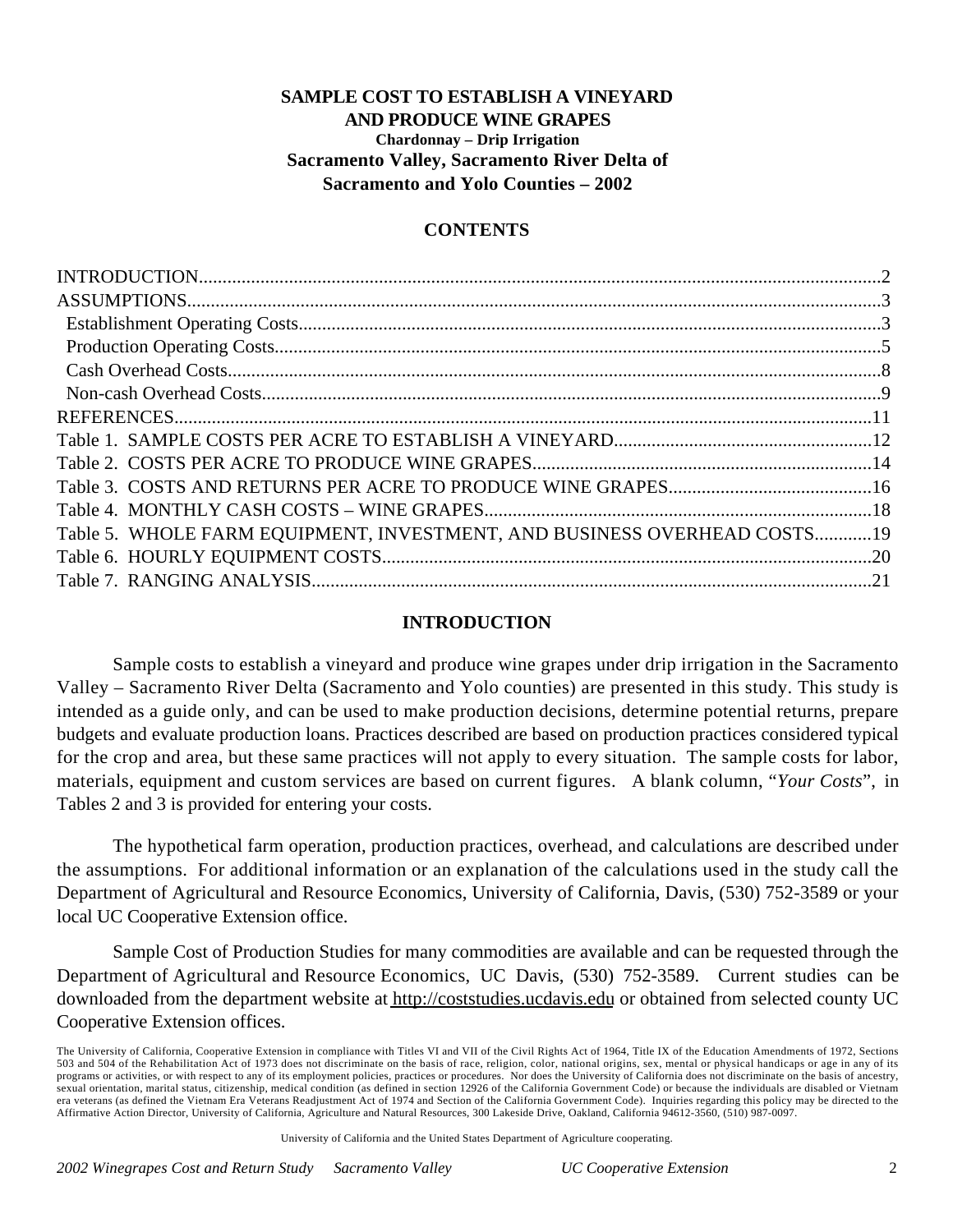### **SAMPLE COST TO ESTABLISH A VINEYARD AND PRODUCE WINE GRAPES Chardonnay – Drip Irrigation Sacramento Valley, Sacramento River Delta of Sacramento and Yolo Counties – 2002**

### **CONTENTS**

| Table 5. WHOLE FARM EQUIPMENT, INVESTMENT, AND BUSINESS OVERHEAD COSTS19 |  |
|--------------------------------------------------------------------------|--|
|                                                                          |  |
|                                                                          |  |
|                                                                          |  |

### **INTRODUCTION**

Sample costs to establish a vineyard and produce wine grapes under drip irrigation in the Sacramento Valley – Sacramento River Delta (Sacramento and Yolo counties) are presented in this study. This study is intended as a guide only, and can be used to make production decisions, determine potential returns, prepare budgets and evaluate production loans. Practices described are based on production practices considered typical for the crop and area, but these same practices will not apply to every situation. The sample costs for labor, materials, equipment and custom services are based on current figures. A blank column, "*Your Costs*", in Tables 2 and 3 is provided for entering your costs.

The hypothetical farm operation, production practices, overhead, and calculations are described under the assumptions. For additional information or an explanation of the calculations used in the study call the Department of Agricultural and Resource Economics, University of California, Davis, (530) 752-3589 or your local UC Cooperative Extension office.

Sample Cost of Production Studies for many commodities are available and can be requested through the Department of Agricultural and Resource Economics, UC Davis, (530) 752-3589. Current studies can be downloaded from the department website at http://coststudies.ucdavis.edu or obtained from selected county UC Cooperative Extension offices.

University of California and the United States Department of Agriculture cooperating.

The University of California, Cooperative Extension in compliance with Titles VI and VII of the Civil Rights Act of 1964, Title IX of the Education Amendments of 1972, Sections 503 and 504 of the Rehabilitation Act of 1973 does not discriminate on the basis of race, religion, color, national origins, sex, mental or physical handicaps or age in any of its programs or activities, or with respect to any of its employment policies, practices or procedures. Nor does the University of California does not discriminate on the basis of ancestry, sexual orientation, marital status, citizenship, medical condition (as defined in section 12926 of the California Government Code) or because the individuals are disabled or Vietnam era veterans (as defined the Vietnam Era Veterans Readjustment Act of 1974 and Section of the California Government Code). Inquiries regarding this policy may be directed to the Affirmative Action Director, University of California, Agriculture and Natural Resources, 300 Lakeside Drive, Oakland, California 94612-3560, (510) 987-0097.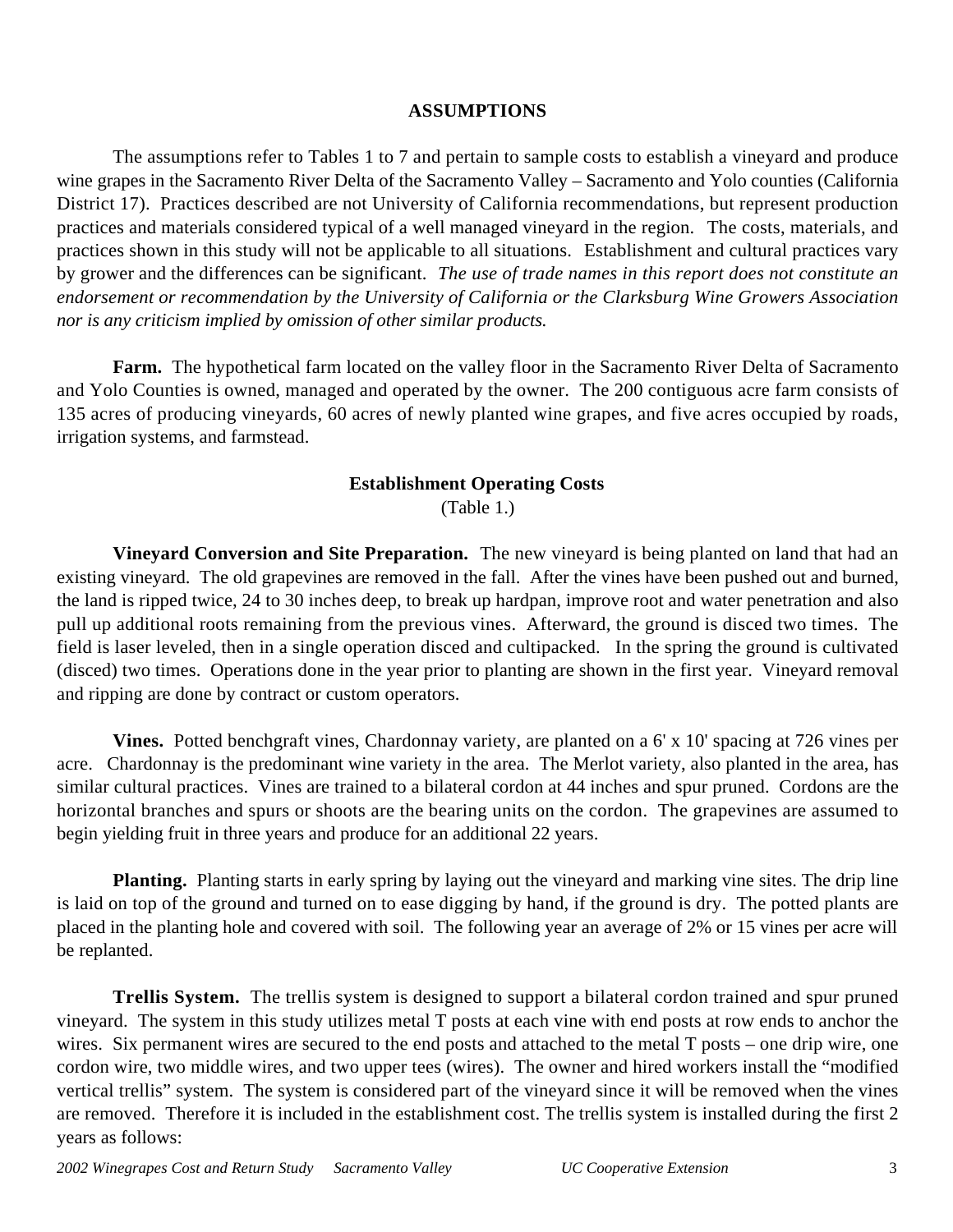### **ASSUMPTIONS**

The assumptions refer to Tables 1 to 7 and pertain to sample costs to establish a vineyard and produce wine grapes in the Sacramento River Delta of the Sacramento Valley – Sacramento and Yolo counties (California District 17). Practices described are not University of California recommendations, but represent production practices and materials considered typical of a well managed vineyard in the region. The costs, materials, and practices shown in this study will not be applicable to all situations.Establishment and cultural practices vary by grower and the differences can be significant. *The use of trade names in this report does not constitute an endorsement or recommendation by the University of California or the Clarksburg Wine Growers Association nor is any criticism implied by omission of other similar products.*

**Farm.** The hypothetical farm located on the valley floor in the Sacramento River Delta of Sacramento and Yolo Counties is owned, managed and operated by the owner. The 200 contiguous acre farm consists of 135 acres of producing vineyards, 60 acres of newly planted wine grapes, and five acres occupied by roads, irrigation systems, and farmstead.

### **Establishment Operating Costs**

(Table 1.)

**Vineyard Conversion and Site Preparation.** The new vineyard is being planted on land that had an existing vineyard. The old grapevines are removed in the fall. After the vines have been pushed out and burned, the land is ripped twice, 24 to 30 inches deep, to break up hardpan, improve root and water penetration and also pull up additional roots remaining from the previous vines. Afterward, the ground is disced two times. The field is laser leveled, then in a single operation disced and cultipacked. In the spring the ground is cultivated (disced) two times. Operations done in the year prior to planting are shown in the first year. Vineyard removal and ripping are done by contract or custom operators.

**Vines.** Potted benchgraft vines, Chardonnay variety, are planted on a 6' x 10' spacing at 726 vines per acre. Chardonnay is the predominant wine variety in the area. The Merlot variety, also planted in the area, has similar cultural practices. Vines are trained to a bilateral cordon at 44 inches and spur pruned. Cordons are the horizontal branches and spurs or shoots are the bearing units on the cordon. The grapevines are assumed to begin yielding fruit in three years and produce for an additional 22 years.

**Planting.** Planting starts in early spring by laying out the vineyard and marking vine sites. The drip line is laid on top of the ground and turned on to ease digging by hand, if the ground is dry. The potted plants are placed in the planting hole and covered with soil. The following year an average of 2% or 15 vines per acre will be replanted.

**Trellis System.** The trellis system is designed to support a bilateral cordon trained and spur pruned vineyard. The system in this study utilizes metal T posts at each vine with end posts at row ends to anchor the wires. Six permanent wires are secured to the end posts and attached to the metal T posts – one drip wire, one cordon wire, two middle wires, and two upper tees (wires). The owner and hired workers install the "modified vertical trellis" system. The system is considered part of the vineyard since it will be removed when the vines are removed. Therefore it is included in the establishment cost. The trellis system is installed during the first 2 years as follows: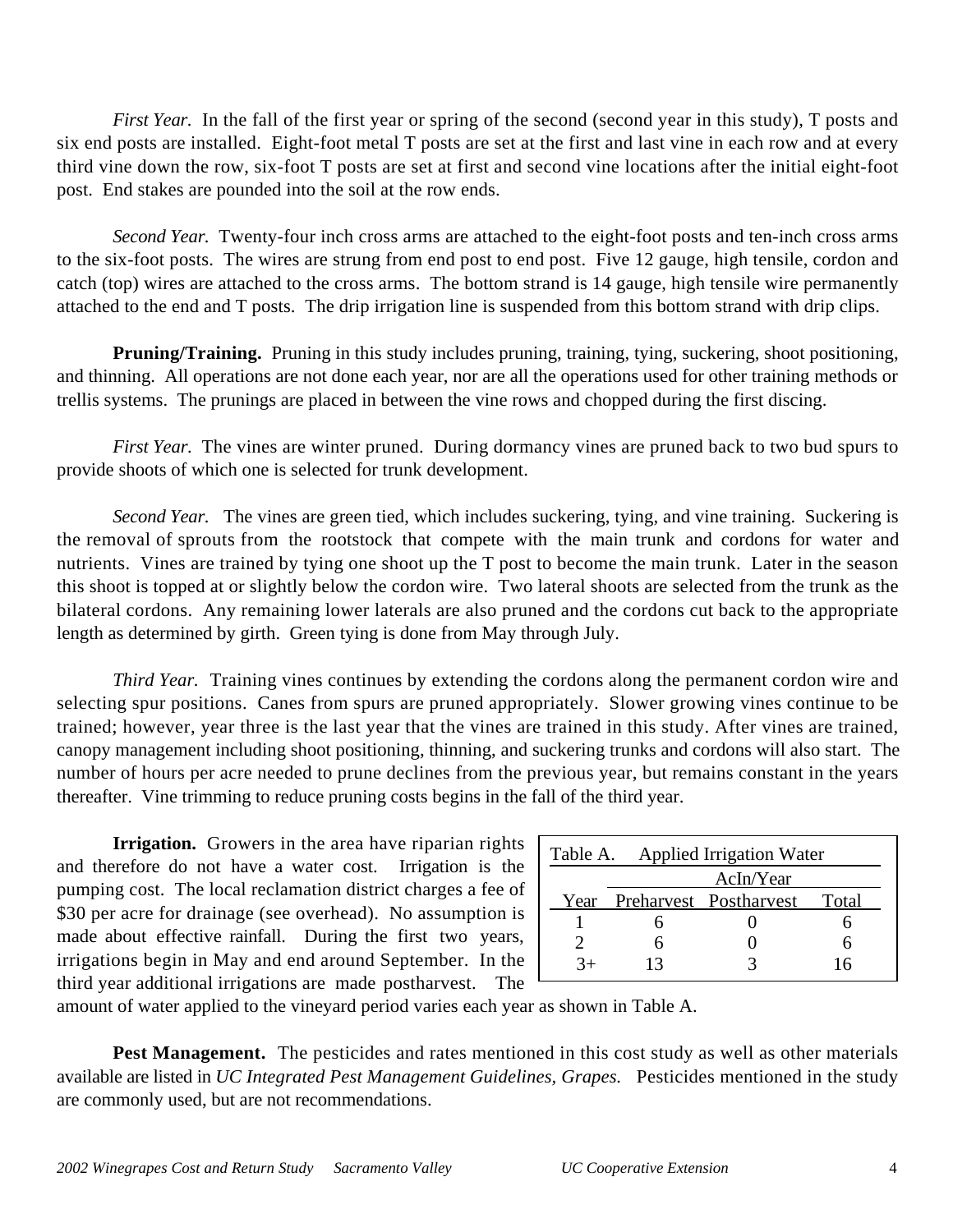*First Year.* In the fall of the first year or spring of the second (second year in this study), T posts and six end posts are installed. Eight-foot metal T posts are set at the first and last vine in each row and at every third vine down the row, six-foot T posts are set at first and second vine locations after the initial eight-foot post. End stakes are pounded into the soil at the row ends.

*Second Year.* Twenty-four inch cross arms are attached to the eight-foot posts and ten-inch cross arms to the six-foot posts. The wires are strung from end post to end post. Five 12 gauge, high tensile, cordon and catch (top) wires are attached to the cross arms. The bottom strand is 14 gauge, high tensile wire permanently attached to the end and T posts. The drip irrigation line is suspended from this bottom strand with drip clips.

**Pruning/Training.** Pruning in this study includes pruning, training, tying, suckering, shoot positioning, and thinning. All operations are not done each year, nor are all the operations used for other training methods or trellis systems. The prunings are placed in between the vine rows and chopped during the first discing.

*First Year.* The vines are winter pruned. During dormancy vines are pruned back to two bud spurs to provide shoots of which one is selected for trunk development.

*Second Year.* The vines are green tied, which includes suckering, tying, and vine training. Suckering is the removal of sprouts from the rootstock that compete with the main trunk and cordons for water and nutrients. Vines are trained by tying one shoot up the T post to become the main trunk. Later in the season this shoot is topped at or slightly below the cordon wire. Two lateral shoots are selected from the trunk as the bilateral cordons. Any remaining lower laterals are also pruned and the cordons cut back to the appropriate length as determined by girth. Green tying is done from May through July.

*Third Year.* Training vines continues by extending the cordons along the permanent cordon wire and selecting spur positions. Canes from spurs are pruned appropriately. Slower growing vines continue to be trained; however, year three is the last year that the vines are trained in this study. After vines are trained, canopy management including shoot positioning, thinning, and suckering trunks and cordons will also start. The number of hours per acre needed to prune declines from the previous year, but remains constant in the years thereafter. Vine trimming to reduce pruning costs begins in the fall of the third year.

**Irrigation.** Growers in the area have riparian rights and therefore do not have a water cost. Irrigation is the pumping cost. The local reclamation district charges a fee of \$30 per acre for drainage (see overhead). No assumption is made about effective rainfall. During the first two years, irrigations begin in May and end around September. In the third year additional irrigations are made postharvest. The

| Table A. Applied Irrigation Water |    |                        |       |  |
|-----------------------------------|----|------------------------|-------|--|
| AcIn/Year                         |    |                        |       |  |
| Year                              |    | Preharvest Postharvest | Total |  |
|                                   |    |                        |       |  |
|                                   |    |                        |       |  |
|                                   | 13 |                        | 6     |  |

amount of water applied to the vineyard period varies each year as shown in Table A.

**Pest Management.** The pesticides and rates mentioned in this cost study as well as other materials available are listed in *UC Integrated Pest Management Guidelines, Grapes.* Pesticides mentioned in the study are commonly used, but are not recommendations.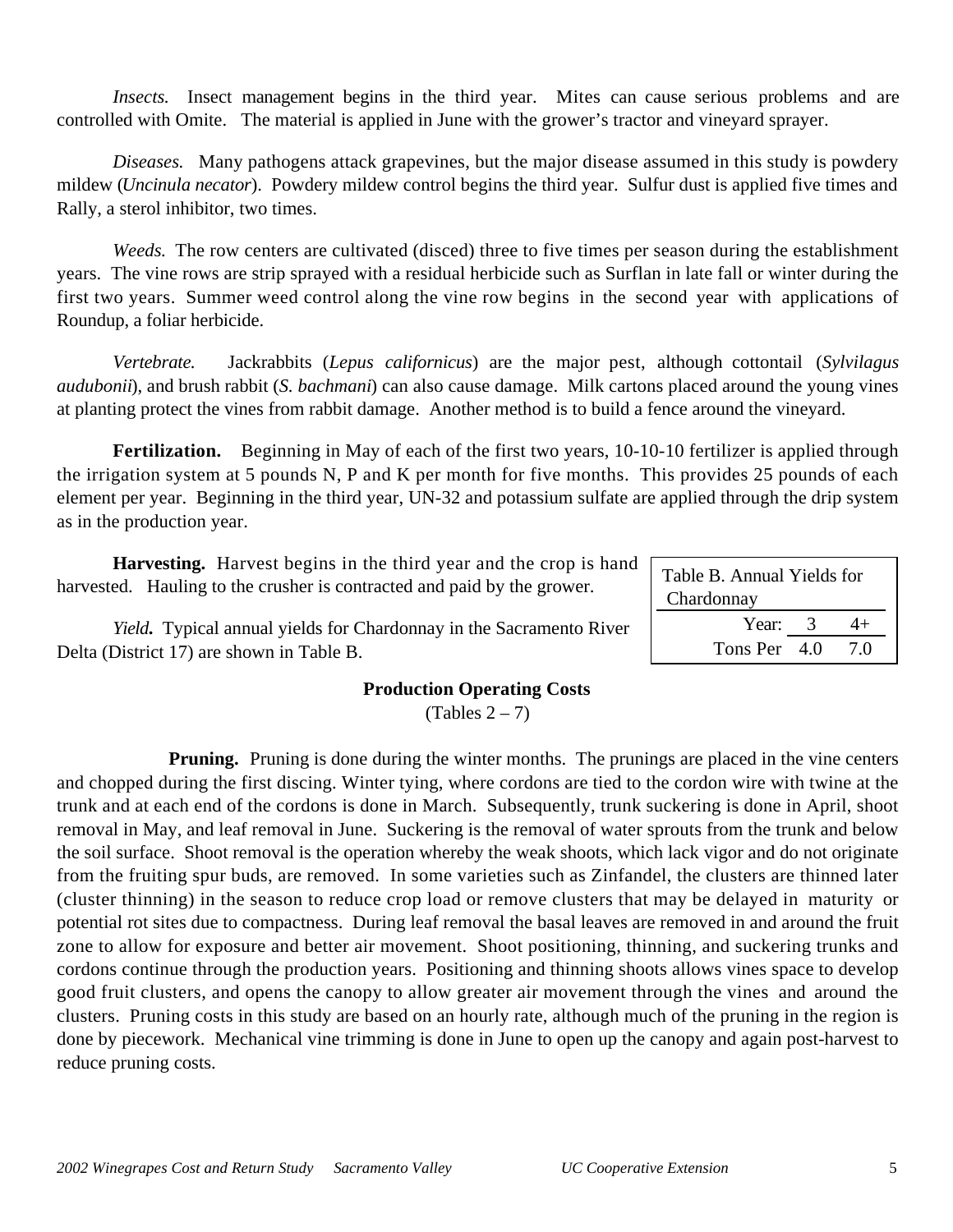*Insects.* Insect management begins in the third year. Mites can cause serious problems and are controlled with Omite. The material is applied in June with the grower's tractor and vineyard sprayer.

*Diseases.* Many pathogens attack grapevines, but the major disease assumed in this study is powdery mildew (*Uncinula necator*). Powdery mildew control begins the third year. Sulfur dust is applied five times and Rally, a sterol inhibitor, two times.

*Weeds.* The row centers are cultivated (disced) three to five times per season during the establishment years. The vine rows are strip sprayed with a residual herbicide such as Surflan in late fall or winter during the first two years. Summer weed control along the vine row begins in the second year with applications of Roundup, a foliar herbicide.

*Vertebrate.* Jackrabbits (*Lepus californicus*) are the major pest, although cottontail (*Sylvilagus audubonii*), and brush rabbit (*S. bachmani*) can also cause damage. Milk cartons placed around the young vines at planting protect the vines from rabbit damage. Another method is to build a fence around the vineyard.

**Fertilization.** Beginning in May of each of the first two years, 10-10-10 fertilizer is applied through the irrigation system at 5 pounds N, P and K per month for five months. This provides 25 pounds of each element per year. Beginning in the third year, UN-32 and potassium sulfate are applied through the drip system as in the production year.

**Harvesting.** Harvest begins in the third year and the crop is hand harvested. Hauling to the crusher is contracted and paid by the grower.

*Yield***.** Typical annual yields for Chardonnay in the Sacramento River Delta (District 17) are shown in Table B.

## **Production Operating Costs**

 $(Tables 2 – 7)$ 

**Pruning.** Pruning is done during the winter months. The prunings are placed in the vine centers and chopped during the first discing. Winter tying, where cordons are tied to the cordon wire with twine at the trunk and at each end of the cordons is done in March. Subsequently, trunk suckering is done in April, shoot removal in May, and leaf removal in June. Suckering is the removal of water sprouts from the trunk and below the soil surface. Shoot removal is the operation whereby the weak shoots, which lack vigor and do not originate from the fruiting spur buds, are removed. In some varieties such as Zinfandel, the clusters are thinned later (cluster thinning) in the season to reduce crop load or remove clusters that may be delayed in maturity or potential rot sites due to compactness. During leaf removal the basal leaves are removed in and around the fruit zone to allow for exposure and better air movement. Shoot positioning, thinning, and suckering trunks and cordons continue through the production years. Positioning and thinning shoots allows vines space to develop good fruit clusters, and opens the canopy to allow greater air movement through the vines and around the clusters. Pruning costs in this study are based on an hourly rate, although much of the pruning in the region is done by piecework. Mechanical vine trimming is done in June to open up the canopy and again post-harvest to reduce pruning costs.

| Table B. Annual Yields for<br>Chardonnay |  |  |  |  |  |
|------------------------------------------|--|--|--|--|--|
| Year: 3                                  |  |  |  |  |  |
| Tons Per 4.0<br>7 O                      |  |  |  |  |  |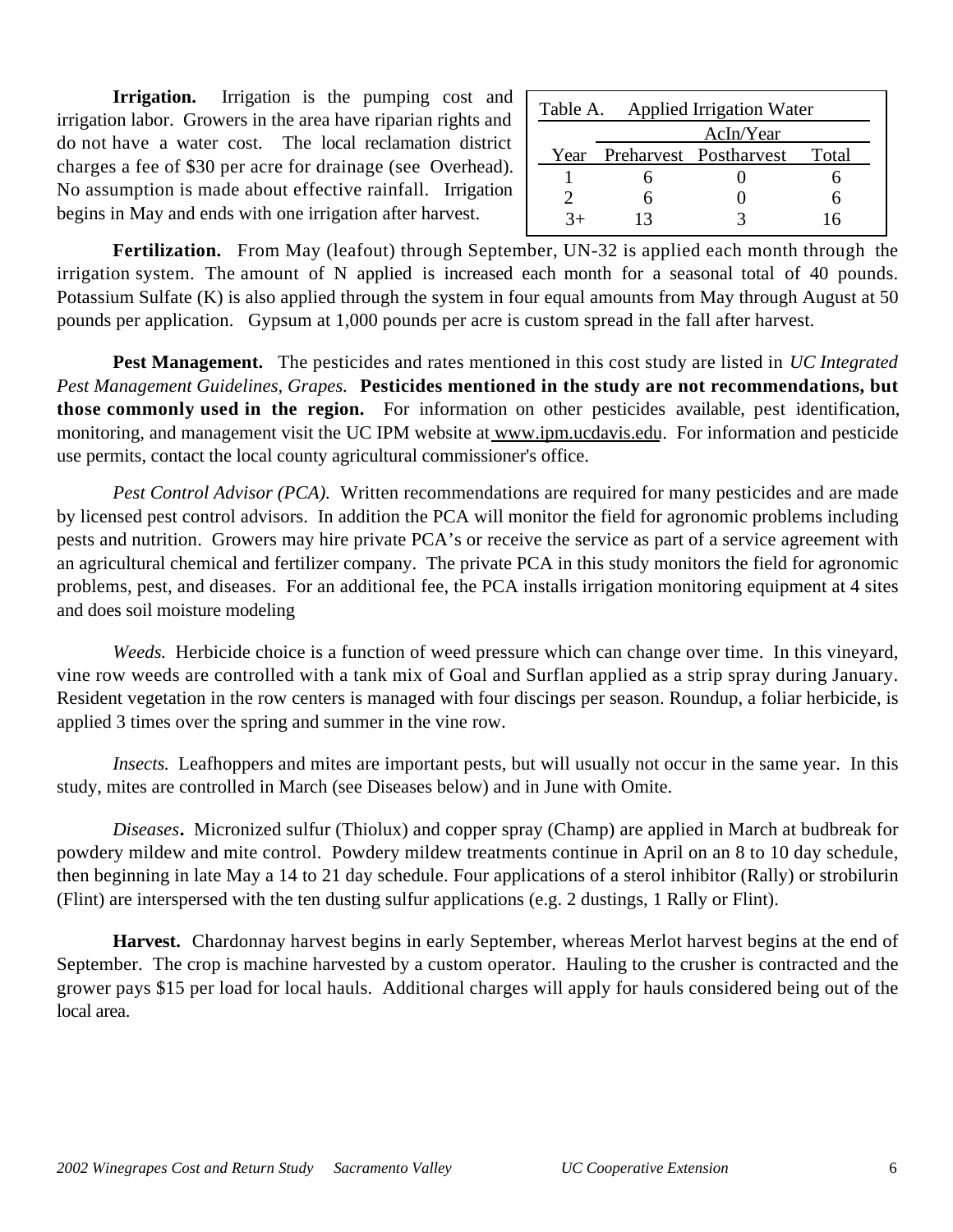**Irrigation.** Irrigation is the pumping cost and irrigation labor. Growers in the area have riparian rights and do not have a water cost. The local reclamation district charges a fee of \$30 per acre for drainage (see Overhead). No assumption is made about effective rainfall. Irrigation begins in May and ends with one irrigation after harvest.

| Table A. Applied Irrigation Water |    |                             |       |  |
|-----------------------------------|----|-----------------------------|-------|--|
|                                   |    | AcIn/Year                   |       |  |
|                                   |    | Year Preharvest Postharvest | Total |  |
|                                   |    |                             |       |  |
|                                   |    |                             |       |  |
| 3+                                | 13 |                             | 16    |  |

**Fertilization.** From May (leafout) through September, UN-32 is applied each month through the irrigation system. The amount of N applied is increased each month for a seasonal total of 40 pounds. Potassium Sulfate (K) is also applied through the system in four equal amounts from May through August at 50 pounds per application. Gypsum at 1,000 pounds per acre is custom spread in the fall after harvest.

**Pest Management.** The pesticides and rates mentioned in this cost study are listed in *UC Integrated Pest Management Guidelines, Grapes.* **Pesticides mentioned in the study are not recommendations, but those commonly used in the region.** For information on other pesticides available, pest identification, monitoring, and management visit the UC IPM website at www.ipm.ucdavis.edu. For information and pesticide use permits, contact the local county agricultural commissioner's office.

*Pest Control Advisor (PCA).* Written recommendations are required for many pesticides and are made by licensed pest control advisors. In addition the PCA will monitor the field for agronomic problems including pests and nutrition. Growers may hire private PCA's or receive the service as part of a service agreement with an agricultural chemical and fertilizer company. The private PCA in this study monitors the field for agronomic problems, pest, and diseases. For an additional fee, the PCA installs irrigation monitoring equipment at 4 sites and does soil moisture modeling

*Weeds.* Herbicide choice is a function of weed pressure which can change over time. In this vineyard, vine row weeds are controlled with a tank mix of Goal and Surflan applied as a strip spray during January. Resident vegetation in the row centers is managed with four discings per season. Roundup, a foliar herbicide, is applied 3 times over the spring and summer in the vine row.

*Insects.* Leafhoppers and mites are important pests, but will usually not occur in the same year. In this study, mites are controlled in March (see Diseases below) and in June with Omite.

*Diseases***.** Micronized sulfur (Thiolux) and copper spray (Champ) are applied in March at budbreak for powdery mildew and mite control. Powdery mildew treatments continue in April on an 8 to 10 day schedule, then beginning in late May a 14 to 21 day schedule. Four applications of a sterol inhibitor (Rally) or strobilurin (Flint) are interspersed with the ten dusting sulfur applications (e.g. 2 dustings, 1 Rally or Flint).

**Harvest.** Chardonnay harvest begins in early September, whereas Merlot harvest begins at the end of September. The crop is machine harvested by a custom operator. Hauling to the crusher is contracted and the grower pays \$15 per load for local hauls. Additional charges will apply for hauls considered being out of the local area.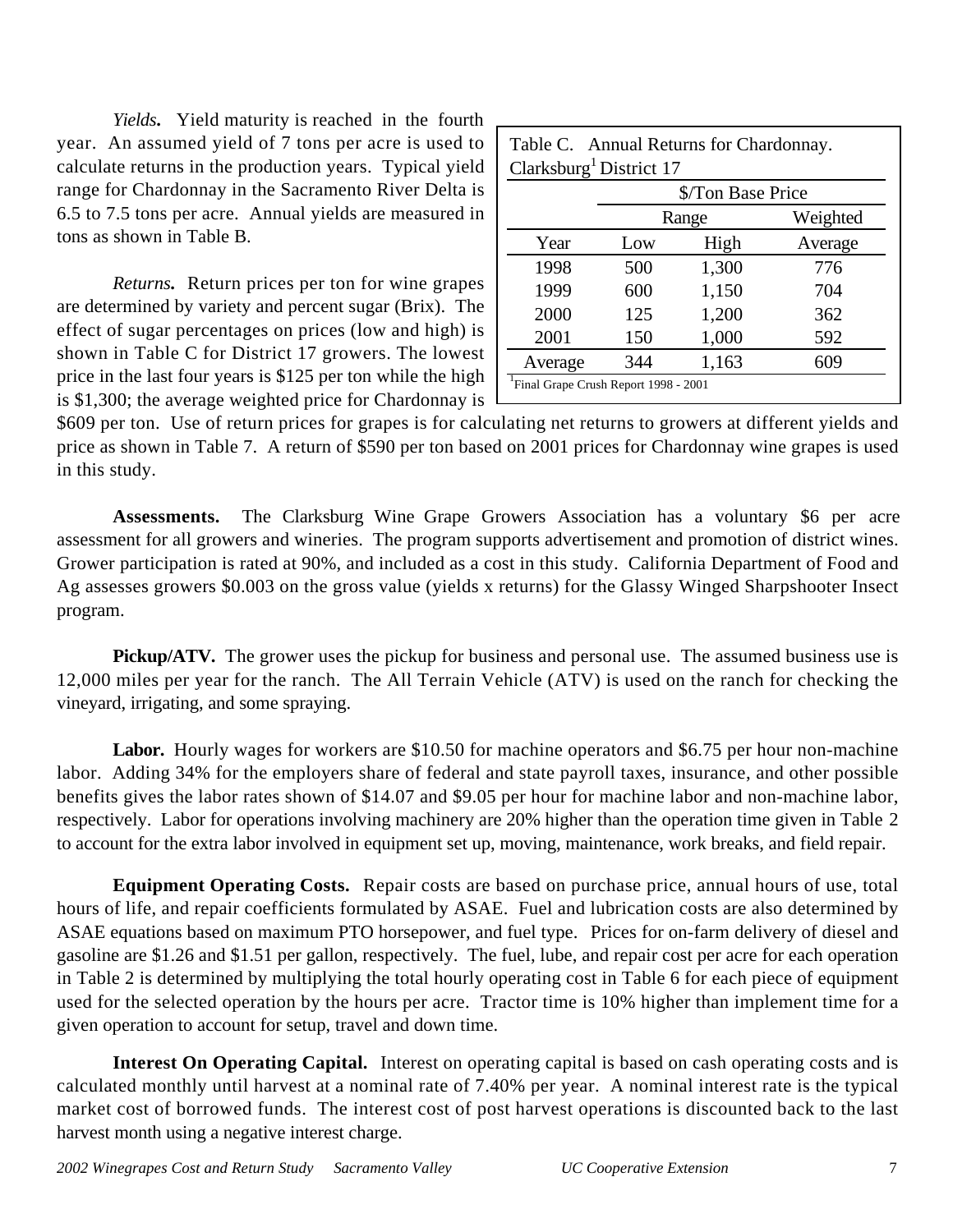*Yields***.** Yield maturity is reached in the fourth year. An assumed yield of 7 tons per acre is used to calculate returns in the production years. Typical yield range for Chardonnay in the Sacramento River Delta is 6.5 to 7.5 tons per acre. Annual yields are measured in tons as shown in Table B.

*Returns***.** Return prices per ton for wine grapes are determined by variety and percent sugar (Brix). The effect of sugar percentages on prices (low and high) is shown in Table C for District 17 growers. The lowest price in the last four years is \$125 per ton while the high is \$1,300; the average weighted price for Chardonnay is

|         | Clarksburg <sup>1</sup> District 17 | \$/Ton Base Price |          |
|---------|-------------------------------------|-------------------|----------|
|         |                                     | Range             | Weighted |
| Year    | Low                                 | High              | Average  |
| 1998    | 500                                 | 1,300             | 776      |
| 1999    | 600                                 | 1,150             | 704      |
| 2000    | 125                                 | 1,200             | 362      |
| 2001    | 150                                 | 1,000             | 592      |
| Average | 344                                 | 1,163             | 609      |

\$609 per ton. Use of return prices for grapes is for calculating net returns to growers at different yields and price as shown in Table 7. A return of \$590 per ton based on 2001 prices for Chardonnay wine grapes is used in this study.

**Assessments.** The Clarksburg Wine Grape Growers Association has a voluntary \$6 per acre assessment for all growers and wineries. The program supports advertisement and promotion of district wines. Grower participation is rated at 90%, and included as a cost in this study. California Department of Food and Ag assesses growers \$0.003 on the gross value (yields x returns) for the Glassy Winged Sharpshooter Insect program.

**Pickup/ATV.** The grower uses the pickup for business and personal use. The assumed business use is 12,000 miles per year for the ranch. The All Terrain Vehicle (ATV) is used on the ranch for checking the vineyard, irrigating, and some spraying.

Labor. Hourly wages for workers are \$10.50 for machine operators and \$6.75 per hour non-machine labor. Adding 34% for the employers share of federal and state payroll taxes, insurance, and other possible benefits gives the labor rates shown of \$14.07 and \$9.05 per hour for machine labor and non-machine labor, respectively. Labor for operations involving machinery are 20% higher than the operation time given in Table 2 to account for the extra labor involved in equipment set up, moving, maintenance, work breaks, and field repair.

**Equipment Operating Costs.** Repair costs are based on purchase price, annual hours of use, total hours of life, and repair coefficients formulated by ASAE. Fuel and lubrication costs are also determined by ASAE equations based on maximum PTO horsepower, and fuel type. Prices for on-farm delivery of diesel and gasoline are \$1.26 and \$1.51 per gallon, respectively. The fuel, lube, and repair cost per acre for each operation in Table 2 is determined by multiplying the total hourly operating cost in Table 6 for each piece of equipment used for the selected operation by the hours per acre. Tractor time is 10% higher than implement time for a given operation to account for setup, travel and down time.

**Interest On Operating Capital.**Interest on operating capital is based on cash operating costs and is calculated monthly until harvest at a nominal rate of 7.40% per year. A nominal interest rate is the typical market cost of borrowed funds. The interest cost of post harvest operations is discounted back to the last harvest month using a negative interest charge.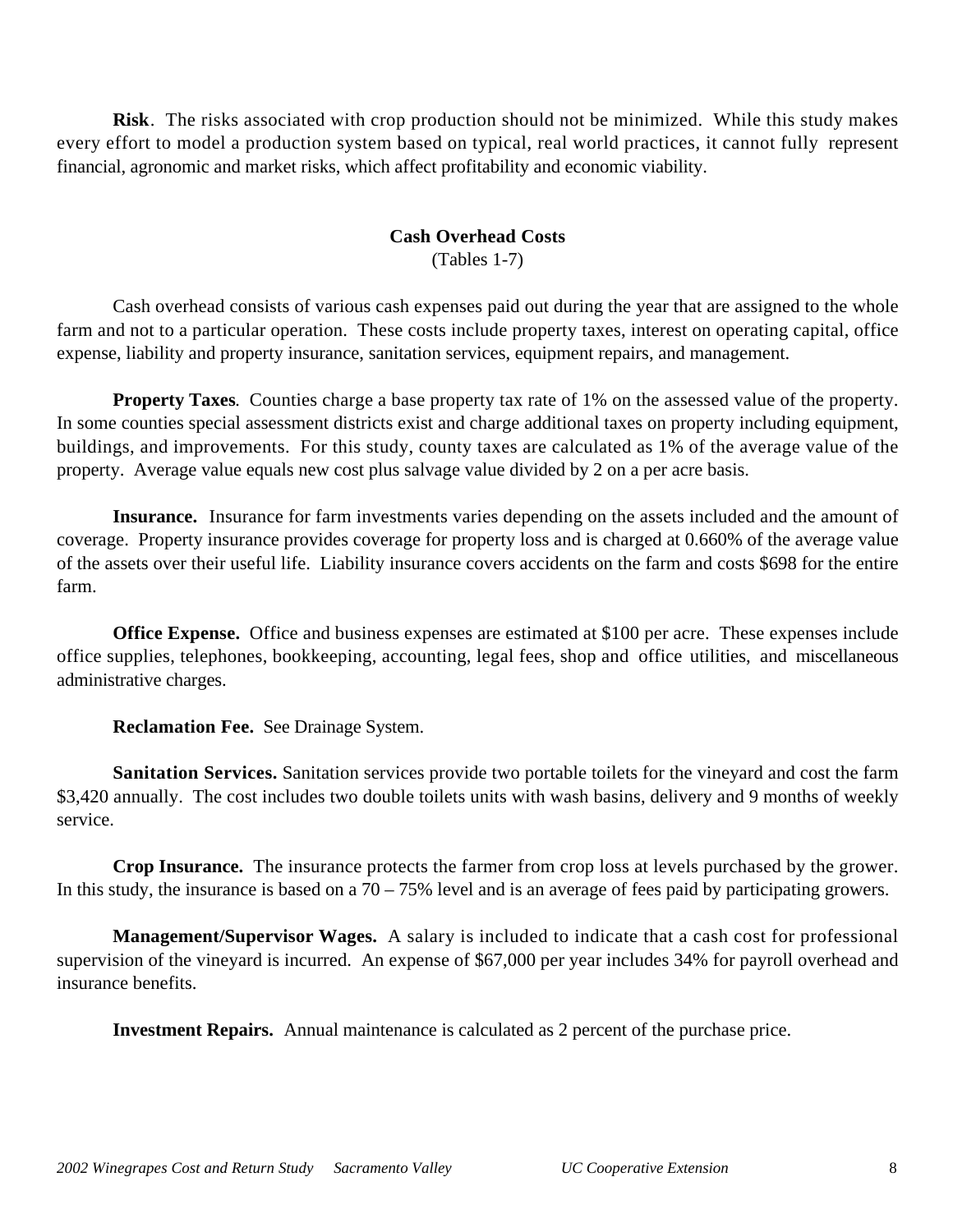**Risk**. The risks associated with crop production should not be minimized. While this study makes every effort to model a production system based on typical, real world practices, it cannot fully represent financial, agronomic and market risks, which affect profitability and economic viability.

### **Cash Overhead Costs**

(Tables 1-7)

Cash overhead consists of various cash expenses paid out during the year that are assigned to the whole farm and not to a particular operation. These costs include property taxes, interest on operating capital, office expense, liability and property insurance, sanitation services, equipment repairs, and management.

**Property Taxes**. Counties charge a base property tax rate of 1% on the assessed value of the property. In some counties special assessment districts exist and charge additional taxes on property including equipment, buildings, and improvements. For this study, county taxes are calculated as 1% of the average value of the property. Average value equals new cost plus salvage value divided by 2 on a per acre basis.

**Insurance.**Insurance for farm investments varies depending on the assets included and the amount of coverage. Property insurance provides coverage for property loss and is charged at 0.660% of the average value of the assets over their useful life. Liability insurance covers accidents on the farm and costs \$698 for the entire farm.

**Office Expense.**Office and business expenses are estimated at \$100 per acre. These expenses include office supplies, telephones, bookkeeping, accounting, legal fees, shop and office utilities, and miscellaneous administrative charges.

**Reclamation Fee.** See Drainage System.

**Sanitation Services.** Sanitation services provide two portable toilets for the vineyard and cost the farm \$3,420 annually. The cost includes two double toilets units with wash basins, delivery and 9 months of weekly service.

**Crop Insurance.** The insurance protects the farmer from crop loss at levels purchased by the grower. In this study, the insurance is based on a  $70 - 75%$  level and is an average of fees paid by participating growers.

**Management/Supervisor Wages.** A salary is included to indicate that a cash cost for professional supervision of the vineyard is incurred. An expense of \$67,000 per year includes 34% for payroll overhead and insurance benefits.

**Investment Repairs.** Annual maintenance is calculated as 2 percent of the purchase price.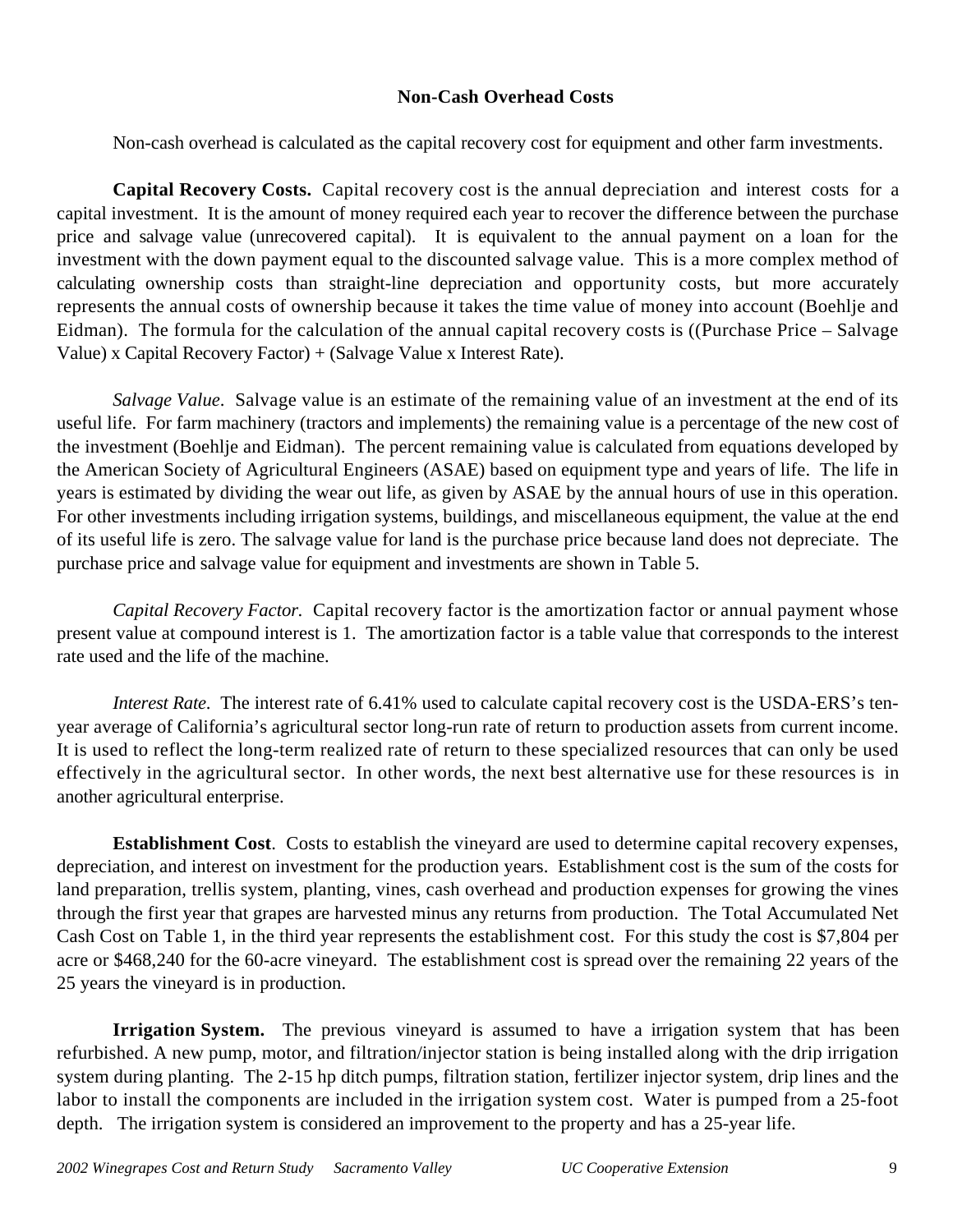### **Non-Cash Overhead Costs**

Non-cash overhead is calculated as the capital recovery cost for equipment and other farm investments.

**Capital Recovery Costs.** Capital recovery cost is the annual depreciation and interest costs for a capital investment. It is the amount of money required each year to recover the difference between the purchase price and salvage value (unrecovered capital). It is equivalent to the annual payment on a loan for the investment with the down payment equal to the discounted salvage value. This is a more complex method of calculating ownership costs than straight-line depreciation and opportunity costs, but more accurately represents the annual costs of ownership because it takes the time value of money into account (Boehlje and Eidman). The formula for the calculation of the annual capital recovery costs is ((Purchase Price – Salvage Value) x Capital Recovery Factor) + (Salvage Value x Interest Rate).

*Salvage Value*. Salvage value is an estimate of the remaining value of an investment at the end of its useful life. For farm machinery (tractors and implements) the remaining value is a percentage of the new cost of the investment (Boehlje and Eidman). The percent remaining value is calculated from equations developed by the American Society of Agricultural Engineers (ASAE) based on equipment type and years of life. The life in years is estimated by dividing the wear out life, as given by ASAE by the annual hours of use in this operation. For other investments including irrigation systems, buildings, and miscellaneous equipment, the value at the end of its useful life is zero. The salvage value for land is the purchase price because land does not depreciate. The purchase price and salvage value for equipment and investments are shown in Table 5.

*Capital Recovery Factor*. Capital recovery factor is the amortization factor or annual payment whose present value at compound interest is 1. The amortization factor is a table value that corresponds to the interest rate used and the life of the machine.

*Interest Rate*. The interest rate of 6.41% used to calculate capital recovery cost is the USDA-ERS's tenyear average of California's agricultural sector long-run rate of return to production assets from current income. It is used to reflect the long-term realized rate of return to these specialized resources that can only be used effectively in the agricultural sector. In other words, the next best alternative use for these resources is in another agricultural enterprise.

**Establishment Cost**. Costs to establish the vineyard are used to determine capital recovery expenses, depreciation, and interest on investment for the production years. Establishment cost is the sum of the costs for land preparation, trellis system, planting, vines, cash overhead and production expenses for growing the vines through the first year that grapes are harvested minus any returns from production. The Total Accumulated Net Cash Cost on Table 1, in the third year represents the establishment cost. For this study the cost is \$7,804 per acre or \$468,240 for the 60-acre vineyard. The establishment cost is spread over the remaining 22 years of the 25 years the vineyard is in production.

**Irrigation System.** The previous vineyard is assumed to have a irrigation system that has been refurbished. A new pump, motor, and filtration/injector station is being installed along with the drip irrigation system during planting. The 2-15 hp ditch pumps, filtration station, fertilizer injector system, drip lines and the labor to install the components are included in the irrigation system cost. Water is pumped from a 25-foot depth. The irrigation system is considered an improvement to the property and has a 25-year life.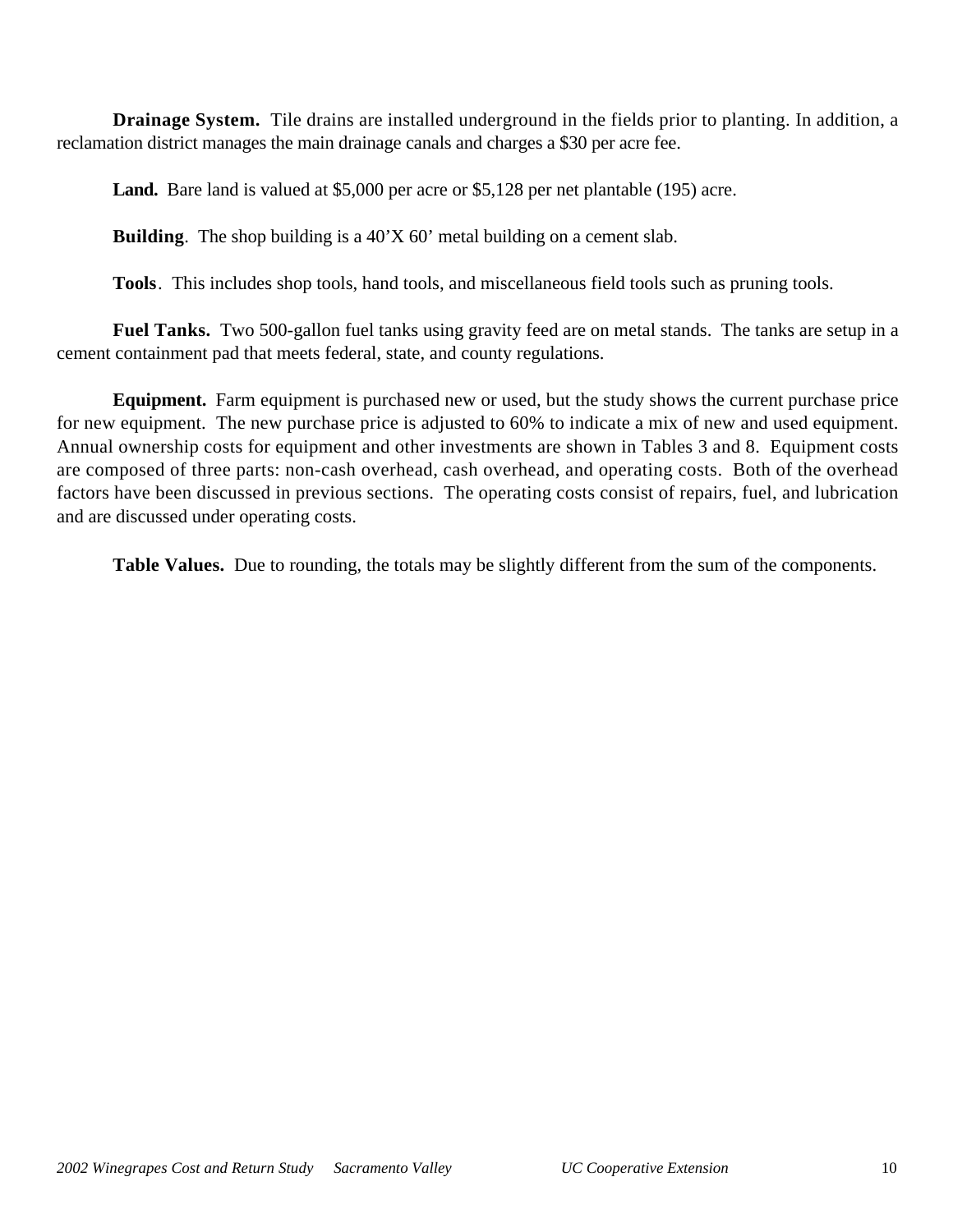**Drainage System.** Tile drains are installed underground in the fields prior to planting. In addition, a reclamation district manages the main drainage canals and charges a \$30 per acre fee.

Land. Bare land is valued at \$5,000 per acre or \$5,128 per net plantable (195) acre.

**Building**. The shop building is a 40'X 60' metal building on a cement slab.

**Tools**. This includes shop tools, hand tools, and miscellaneous field tools such as pruning tools.

**Fuel Tanks.** Two 500-gallon fuel tanks using gravity feed are on metal stands. The tanks are setup in a cement containment pad that meets federal, state, and county regulations.

**Equipment.** Farm equipment is purchased new or used, but the study shows the current purchase price for new equipment. The new purchase price is adjusted to 60% to indicate a mix of new and used equipment. Annual ownership costs for equipment and other investments are shown in Tables 3 and 8. Equipment costs are composed of three parts: non-cash overhead, cash overhead, and operating costs. Both of the overhead factors have been discussed in previous sections. The operating costs consist of repairs, fuel, and lubrication and are discussed under operating costs.

**Table Values.** Due to rounding, the totals may be slightly different from the sum of the components.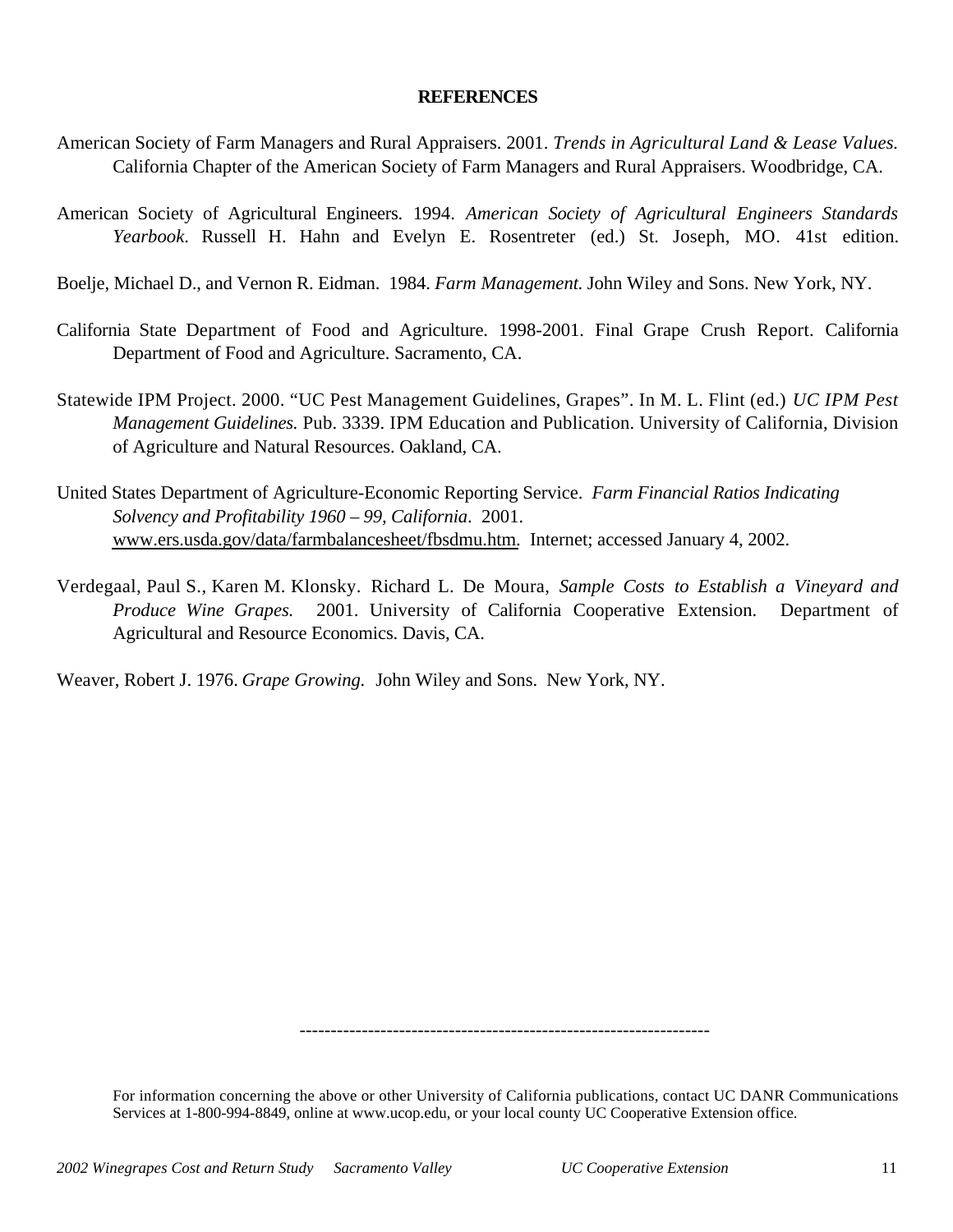### **REFERENCES**

- American Society of Farm Managers and Rural Appraisers. 2001. *Trends in Agricultural Land & Lease Values.* California Chapter of the American Society of Farm Managers and Rural Appraisers. Woodbridge, CA.
- American Society of Agricultural Engineers. 1994. *American Society of Agricultural Engineers Standards Yearbook*. Russell H. Hahn and Evelyn E. Rosentreter (ed.) St. Joseph, MO. 41st edition.
- Boelje, Michael D., and Vernon R. Eidman. 1984. *Farm Management*. John Wiley and Sons. New York, NY.
- California State Department of Food and Agriculture. 1998-2001. Final Grape Crush Report. California Department of Food and Agriculture. Sacramento, CA.
- Statewide IPM Project. 2000. "UC Pest Management Guidelines, Grapes". In M. L. Flint (ed.) *UC IPM Pest Management Guidelines.* Pub. 3339. IPM Education and Publication. University of California, Division of Agriculture and Natural Resources. Oakland, CA.
- United States Department of Agriculture-Economic Reporting Service. *Farm Financial Ratios Indicating Solvency and Profitability 1960 – 99, California*. 2001. www.ers.usda.gov/data/farmbalancesheet/fbsdmu.htm. Internet; accessed January 4, 2002.
- Verdegaal, Paul S., Karen M. Klonsky. Richard L. De Moura, *Sample Costs to Establish a Vineyard and Produce Wine Grapes.* 2001. University of California Cooperative Extension. Department of Agricultural and Resource Economics. Davis, CA.

Weaver, Robert J. 1976. *Grape Growing.* John Wiley and Sons. New York, NY.

------------------------------------------------------------------

For information concerning the above or other University of California publications, contact UC DANR Communications Services at 1-800-994-8849, online at www.ucop.edu, or your local county UC Cooperative Extension office.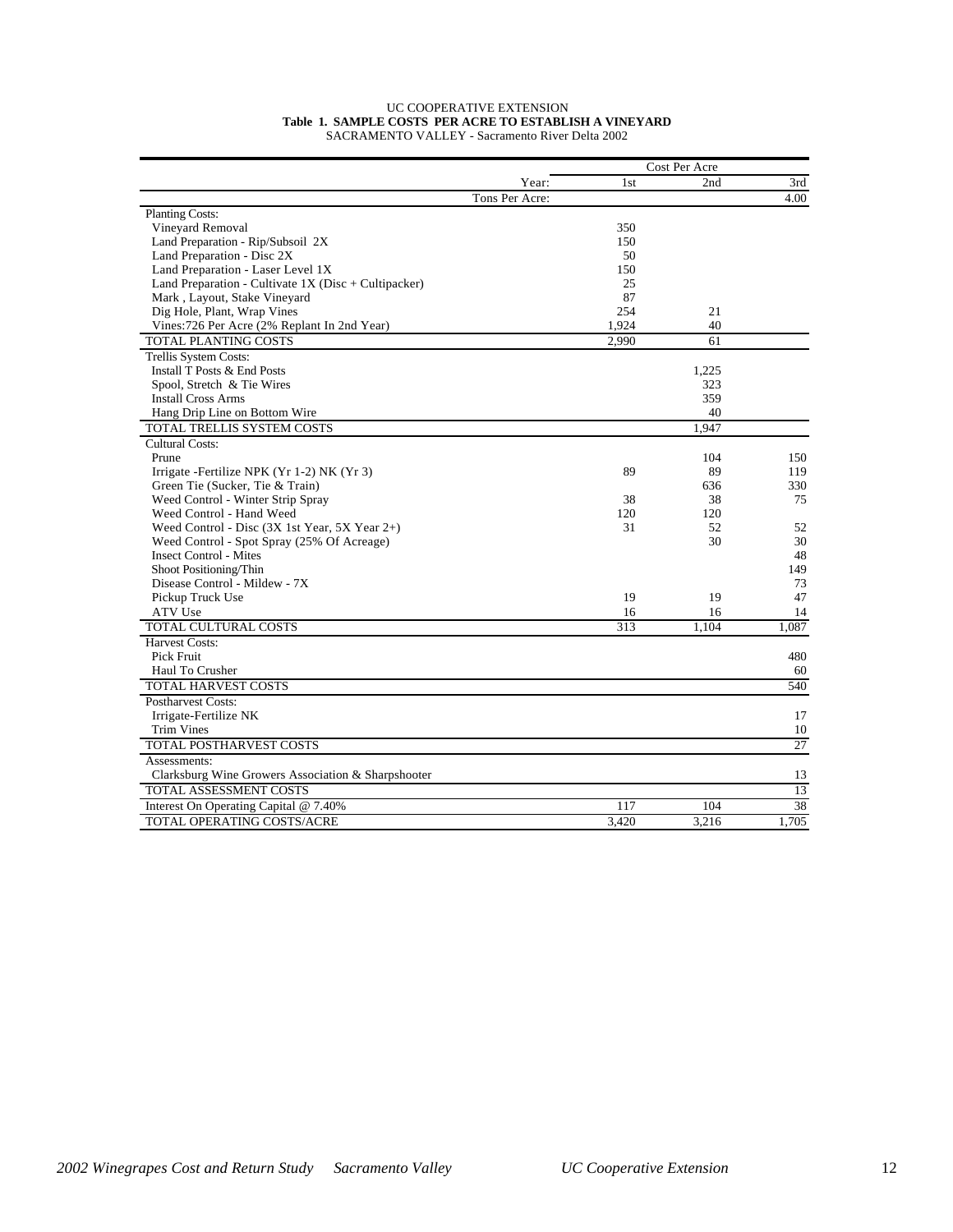| <b>UC COOPERATIVE EXTENSION</b>                        |
|--------------------------------------------------------|
| Table 1. SAMPLE COSTS PER ACRE TO ESTABLISH A VINEYARD |
| SACRAMENTO VALLEY - Sacramento River Delta 2002        |

|                                                        |                |       | Cost Per Acre |       |
|--------------------------------------------------------|----------------|-------|---------------|-------|
|                                                        | Year:          | 1st   | 2nd           | 3rd   |
|                                                        | Tons Per Acre: |       |               | 4.00  |
| <b>Planting Costs:</b>                                 |                |       |               |       |
| Vineyard Removal                                       |                | 350   |               |       |
| Land Preparation - Rip/Subsoil 2X                      |                | 150   |               |       |
| Land Preparation - Disc 2X                             |                | 50    |               |       |
| Land Preparation - Laser Level 1X                      |                | 150   |               |       |
| Land Preparation - Cultivate $1X$ (Disc + Cultipacker) |                | 25    |               |       |
| Mark, Layout, Stake Vineyard                           |                | 87    |               |       |
| Dig Hole, Plant, Wrap Vines                            |                | 254   | 21            |       |
| Vines: 726 Per Acre (2% Replant In 2nd Year)           |                | 1,924 | 40            |       |
| TOTAL PLANTING COSTS                                   |                | 2,990 | 61            |       |
| Trellis System Costs:                                  |                |       |               |       |
| Install T Posts & End Posts                            |                |       | 1,225         |       |
| Spool, Stretch & Tie Wires                             |                |       | 323           |       |
| <b>Install Cross Arms</b>                              |                |       | 359           |       |
| Hang Drip Line on Bottom Wire                          |                |       | 40            |       |
| TOTAL TRELLIS SYSTEM COSTS                             |                |       | 1.947         |       |
| <b>Cultural Costs:</b>                                 |                |       |               |       |
| Prune                                                  |                |       | 104           | 150   |
| Irrigate - Fertilize NPK (Yr 1-2) NK (Yr 3)            |                | 89    | 89            | 119   |
| Green Tie (Sucker, Tie & Train)                        |                |       | 636           | 330   |
| Weed Control - Winter Strip Spray                      |                | 38    | 38            | 75    |
| Weed Control - Hand Weed                               |                | 120   | 120           |       |
| Weed Control - Disc (3X 1st Year, 5X Year 2+)          |                | 31    | 52            | 52    |
| Weed Control - Spot Spray (25% Of Acreage)             |                |       | 30            | 30    |
| <b>Insect Control - Mites</b>                          |                |       |               | 48    |
| Shoot Positioning/Thin                                 |                |       |               | 149   |
| Disease Control - Mildew - 7X                          |                |       |               | 73    |
| Pickup Truck Use                                       |                | 19    | 19            | 47    |
| ATV Use                                                |                | 16    | 16            | 14    |
| <b>TOTAL CULTURAL COSTS</b>                            |                | 313   | 1.104         | 1.087 |
| <b>Harvest Costs:</b>                                  |                |       |               |       |
| Pick Fruit                                             |                |       |               | 480   |
| Haul To Crusher                                        |                |       |               | 60    |
| <b>TOTAL HARVEST COSTS</b>                             |                |       |               | 540   |
| Postharvest Costs:                                     |                |       |               |       |
| Irrigate-Fertilize NK                                  |                |       |               | 17    |
| <b>Trim Vines</b>                                      |                |       |               | 10    |
| <b>TOTAL POSTHARVEST COSTS</b>                         |                |       |               | 27    |
| Assessments:                                           |                |       |               |       |
| Clarksburg Wine Growers Association & Sharpshooter     |                |       |               | 13    |
| TOTAL ASSESSMENT COSTS                                 |                |       |               | 13    |
| Interest On Operating Capital @ 7.40%                  |                | 117   | 104           | 38    |
| TOTAL OPERATING COSTS/ACRE                             |                | 3,420 | 3,216         | 1,705 |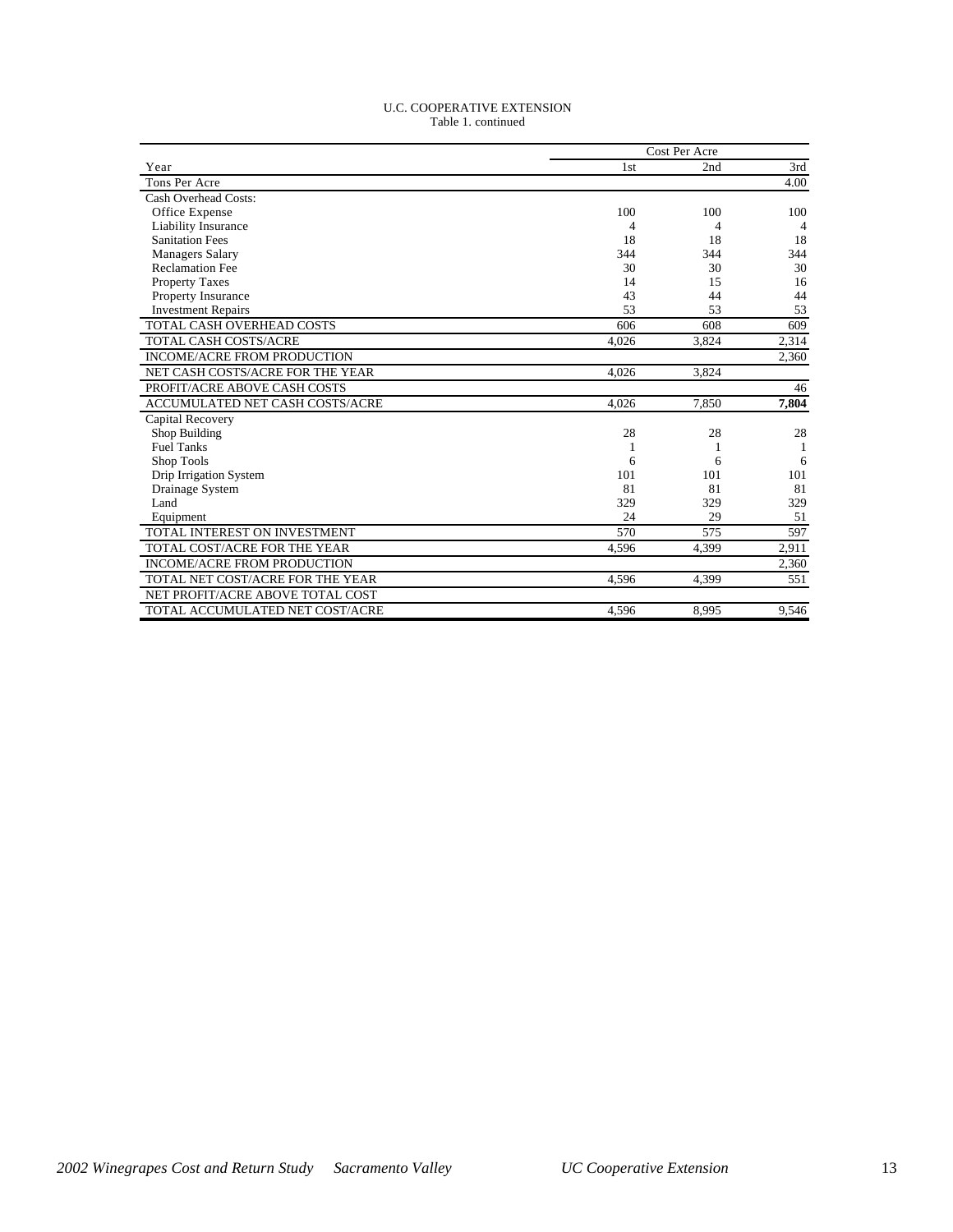#### U.C. COOPERATIVE EXTENSION Table 1. continued

|                                    | Cost Per Acre   |       |                |  |  |
|------------------------------------|-----------------|-------|----------------|--|--|
| Year                               | 1 <sub>st</sub> | 2nd   | 3rd            |  |  |
| Tons Per Acre                      |                 |       | 4.00           |  |  |
| Cash Overhead Costs:               |                 |       |                |  |  |
| Office Expense                     | 100             | 100   | 100            |  |  |
| <b>Liability Insurance</b>         | 4               | 4     | $\overline{4}$ |  |  |
| <b>Sanitation Fees</b>             | 18              | 18    | 18             |  |  |
| <b>Managers Salary</b>             | 344             | 344   | 344            |  |  |
| <b>Reclamation Fee</b>             | 30              | 30    | 30             |  |  |
| <b>Property Taxes</b>              | 14              | 15    | 16             |  |  |
| <b>Property Insurance</b>          | 43              | 44    | 44             |  |  |
| <b>Investment Repairs</b>          | 53              | 53    | 53             |  |  |
| TOTAL CASH OVERHEAD COSTS          | 606             | 608   | 609            |  |  |
| <b>TOTAL CASH COSTS/ACRE</b>       | 4.026           | 3.824 | 2.314          |  |  |
| INCOME/ACRE FROM PRODUCTION        |                 |       | 2,360          |  |  |
| NET CASH COSTS/ACRE FOR THE YEAR   | 4.026           | 3.824 |                |  |  |
| PROFIT/ACRE ABOVE CASH COSTS       |                 |       | 46             |  |  |
| ACCUMULATED NET CASH COSTS/ACRE    | 4.026           | 7.850 | 7,804          |  |  |
| Capital Recovery                   |                 |       |                |  |  |
| Shop Building                      | 28              | 28    | 28             |  |  |
| <b>Fuel Tanks</b>                  |                 | 1     |                |  |  |
| Shop Tools                         | 6               | 6     | 6              |  |  |
| Drip Irrigation System             | 101             | 101   | 101            |  |  |
| Drainage System                    | 81              | 81    | 81             |  |  |
| Land                               | 329             | 329   | 329            |  |  |
| Equipment                          | 24              | 29    | 51             |  |  |
| TOTAL INTEREST ON INVESTMENT       | 570             | 575   | 597            |  |  |
| TOTAL COST/ACRE FOR THE YEAR       | 4.596           | 4.399 | 2,911          |  |  |
| <b>INCOME/ACRE FROM PRODUCTION</b> |                 |       | 2,360          |  |  |
| TOTAL NET COST/ACRE FOR THE YEAR   | 4,596           | 4,399 | 551            |  |  |
| NET PROFIT/ACRE ABOVE TOTAL COST   |                 |       |                |  |  |
| TOTAL ACCUMULATED NET COST/ACRE    | 4,596           | 8,995 | 9,546          |  |  |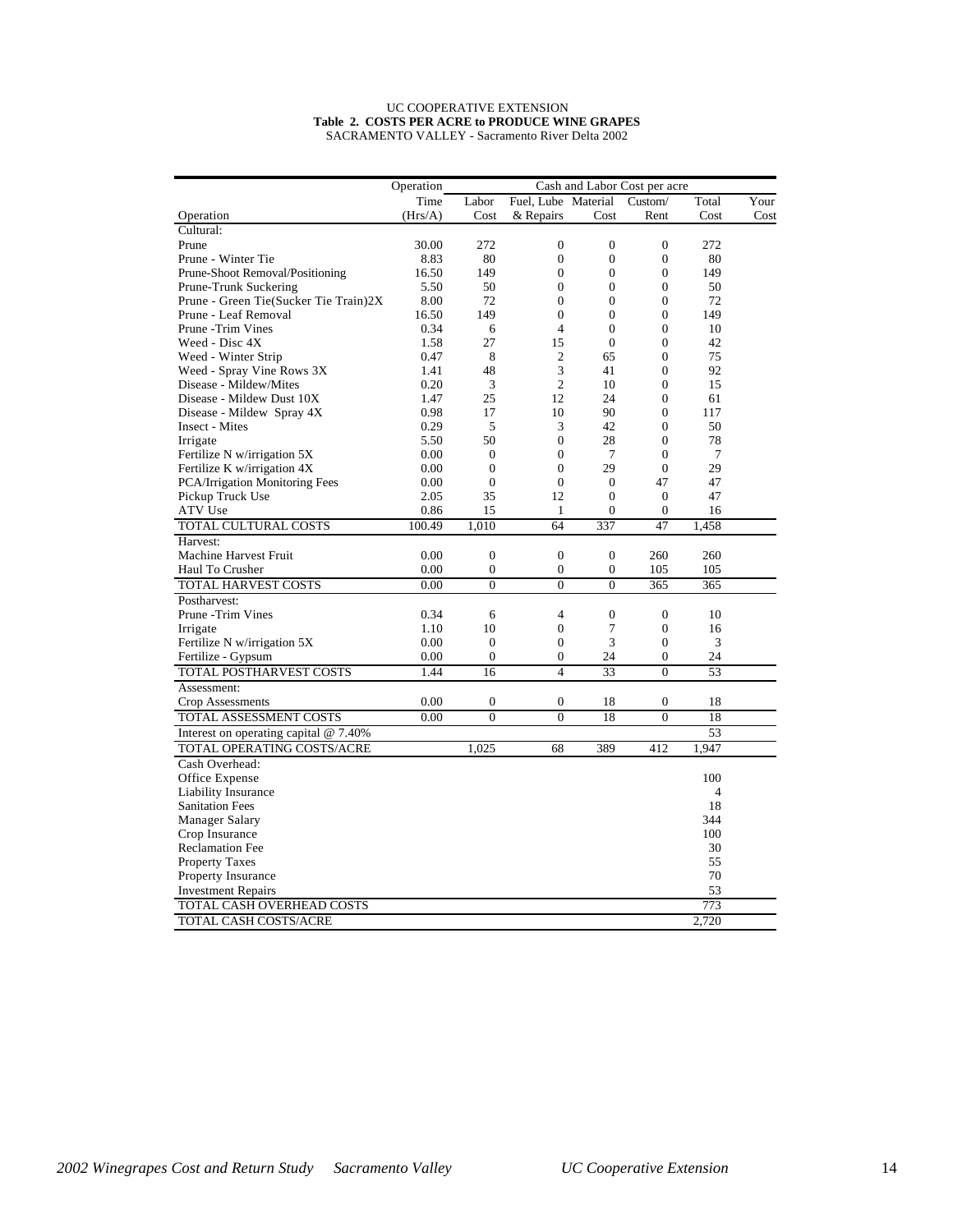#### UC COOPERATIVE EXTENSION **Table 2. COSTS PER ACRE to PRODUCE WINE GRAPES** SACRAMENTO VALLEY - Sacramento River Delta 2002

|                                         | Operation<br>Cash and Labor Cost per acre |                  |                     |                  |                  |        |      |
|-----------------------------------------|-------------------------------------------|------------------|---------------------|------------------|------------------|--------|------|
|                                         | Time                                      | Labor            | Fuel, Lube Material |                  | Custom/          | Total  | Your |
| Operation                               | (Hrs/A)                                   | Cost             | & Repairs           | Cost             | Rent             | Cost   | Cost |
| Cultural:                               |                                           |                  |                     |                  |                  |        |      |
| Prune                                   | 30.00                                     | 272              | $\mathbf{0}$        | $\mathbf{0}$     | $\mathbf{0}$     | 272    |      |
| Prune - Winter Tie                      | 8.83                                      | 80               | $\mathbf{0}$        | $\overline{0}$   | $\boldsymbol{0}$ | 80     |      |
| Prune-Shoot Removal/Positioning         | 16.50                                     | 149              | $\overline{0}$      | $\overline{0}$   | $\overline{0}$   | 149    |      |
| Prune-Trunk Suckering                   | 5.50                                      | 50               | $\mathbf{0}$        | $\mathbf{0}$     | $\overline{0}$   | 50     |      |
| Prune - Green Tie(Sucker Tie Train)2X   | 8.00                                      | 72               | $\theta$            | $\overline{0}$   | $\overline{0}$   | 72     |      |
| Prune - Leaf Removal                    | 16.50                                     | 149              | $\mathbf{0}$        | $\mathbf{0}$     | 0                | 149    |      |
| Prune -Trim Vines                       | 0.34                                      | 6                | $\overline{4}$      | $\Omega$         | $\overline{0}$   | 10     |      |
| Weed - Disc 4X                          | 1.58                                      | 27               | 15                  | $\boldsymbol{0}$ | $\boldsymbol{0}$ | 42     |      |
| Weed - Winter Strip                     | 0.47                                      | 8                | $\overline{2}$      | 65               | $\overline{0}$   | 75     |      |
| Weed - Spray Vine Rows 3X               | 1.41                                      | 48               | 3                   | 41               | $\overline{0}$   | 92     |      |
| Disease - Mildew/Mites                  | 0.20                                      | 3                | $\overline{c}$      | 10               | 0                | 15     |      |
| Disease - Mildew Dust 10X               | 1.47                                      | 25               | 12                  | 24               | $\theta$         | 61     |      |
| Disease - Mildew Spray 4X               | 0.98                                      | 17               | 10                  | 90               | $\overline{0}$   | 117    |      |
| Insect - Mites                          | 0.29                                      | 5                | 3                   | 42               | $\overline{0}$   | 50     |      |
| Irrigate                                | 5.50                                      | 50               | $\mathbf{0}$        | 28               | 0                | 78     |      |
| Fertilize N w/irrigation 5X             | 0.00                                      | $\boldsymbol{0}$ | $\mathbf{0}$        | 7                | $\overline{0}$   | $\tau$ |      |
| Fertilize K w/irrigation 4X             | 0.00                                      | $\mathbf{0}$     | $\Omega$            | 29               | $\overline{0}$   | 29     |      |
| PCA/Irrigation Monitoring Fees          | 0.00                                      | $\boldsymbol{0}$ | $\mathbf{0}$        | $\mathbf{0}$     | 47               | 47     |      |
| Pickup Truck Use                        | 2.05                                      | 35               | 12                  | $\mathbf{0}$     | $\mathbf{0}$     | 47     |      |
| ATV Use                                 | 0.86                                      | 15               | 1                   | 0                | $\boldsymbol{0}$ | 16     |      |
| TOTAL CULTURAL COSTS                    | 100.49                                    | 1,010            | 64                  | 337              | 47               | 1,458  |      |
| Harvest:                                |                                           |                  |                     |                  |                  |        |      |
| <b>Machine Harvest Fruit</b>            | 0.00                                      | $\overline{0}$   | $\overline{0}$      | $\mathbf{0}$     | 260              | 260    |      |
| Haul To Crusher                         | 0.00                                      | 0                | $\overline{0}$      | $\boldsymbol{0}$ | 105              | 105    |      |
| <b>TOTAL HARVEST COSTS</b>              | 0.00                                      | $\theta$         | $\theta$            | $\theta$         | 365              | 365    |      |
| Postharvest:                            |                                           |                  |                     |                  |                  |        |      |
| Prune -Trim Vines                       | 0.34                                      | 6                | 4                   | $\boldsymbol{0}$ | $\mathbf{0}$     | 10     |      |
| Irrigate                                | 1.10                                      | 10               | $\overline{0}$      | 7                | $\boldsymbol{0}$ | 16     |      |
| Fertilize N w/irrigation 5X             | 0.00                                      | $\mathbf{0}$     | $\overline{0}$      | 3                | $\overline{0}$   | 3      |      |
| Fertilize - Gypsum                      | 0.00                                      | $\boldsymbol{0}$ | $\mathbf{0}$        | 24               | 0                | 24     |      |
| TOTAL POSTHARVEST COSTS                 | 1.44                                      | 16               | $\overline{4}$      | 33               | $\overline{0}$   | 53     |      |
| Assessment:                             |                                           |                  |                     |                  |                  |        |      |
| Crop Assessments                        | 0.00                                      | $\boldsymbol{0}$ | $\boldsymbol{0}$    | 18               | $\boldsymbol{0}$ | 18     |      |
| TOTAL ASSESSMENT COSTS                  | 0.00                                      | $\overline{0}$   | $\overline{0}$      | 18               | $\overline{0}$   | 18     |      |
| Interest on operating capital $@$ 7.40% |                                           |                  |                     |                  |                  | 53     |      |
| TOTAL OPERATING COSTS/ACRE              |                                           | 1,025            | 68                  | 389              | 412              | 1,947  |      |
| Cash Overhead:                          |                                           |                  |                     |                  |                  |        |      |
| Office Expense                          |                                           |                  |                     |                  |                  | 100    |      |
| Liability Insurance                     |                                           |                  |                     |                  |                  | 4      |      |
| <b>Sanitation Fees</b>                  |                                           |                  |                     |                  |                  | 18     |      |
|                                         |                                           |                  |                     |                  |                  | 344    |      |
| Manager Salary<br>Crop Insurance        |                                           |                  |                     |                  |                  | 100    |      |
|                                         |                                           |                  |                     |                  |                  | 30     |      |
| <b>Reclamation Fee</b>                  |                                           |                  |                     |                  |                  | 55     |      |
| <b>Property Taxes</b>                   |                                           |                  |                     |                  |                  | 70     |      |
| Property Insurance                      |                                           |                  |                     |                  |                  | 53     |      |
| <b>Investment Repairs</b>               |                                           |                  |                     |                  |                  |        |      |
| TOTAL CASH OVERHEAD COSTS               |                                           |                  |                     |                  |                  | 773    |      |
| TOTAL CASH COSTS/ACRE                   |                                           |                  |                     |                  |                  | 2,720  |      |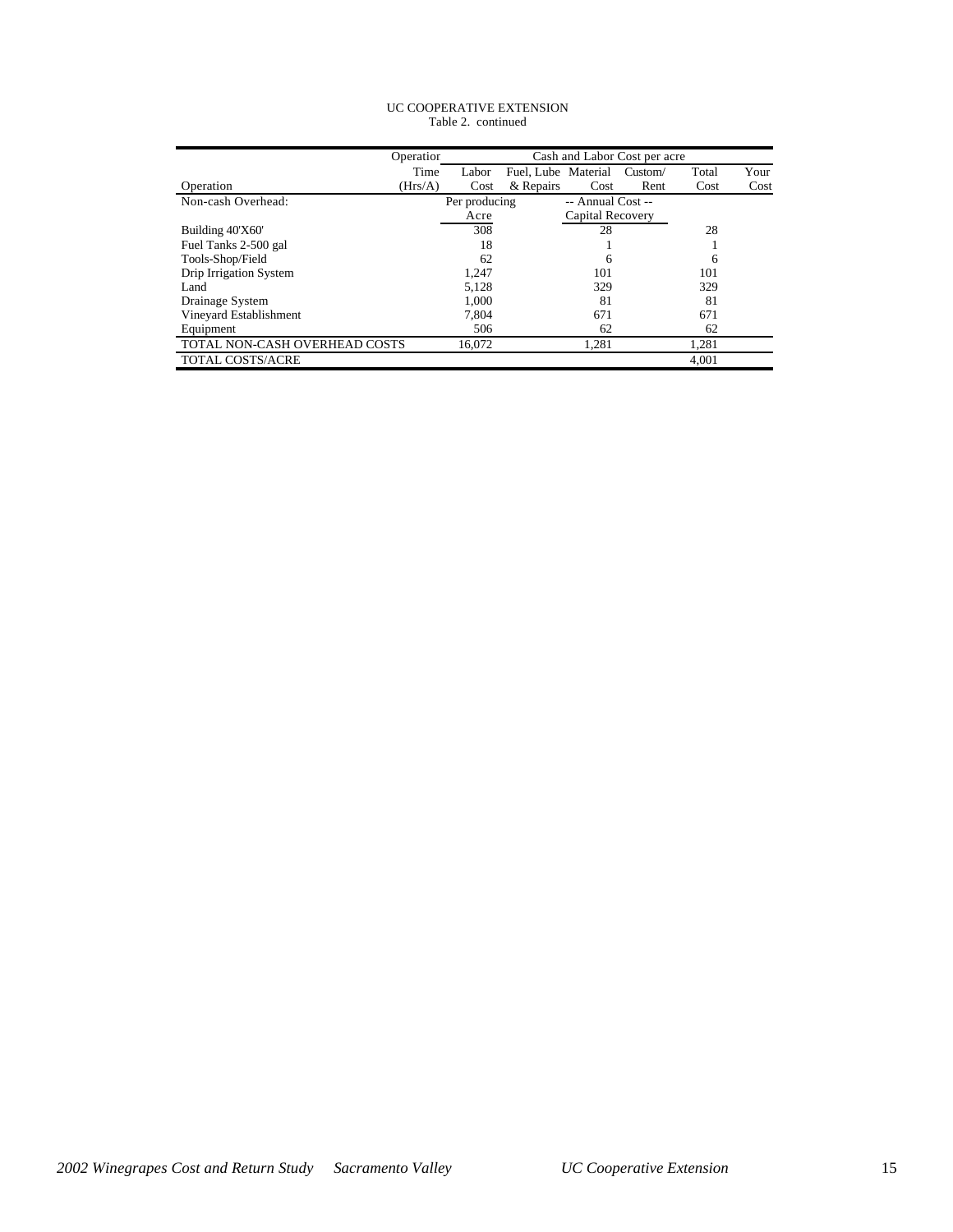#### UC COOPERATIVE EXTENSION Table 2. continued

|                               | Operation | Cash and Labor Cost per acre |                     |                   |         |       |      |
|-------------------------------|-----------|------------------------------|---------------------|-------------------|---------|-------|------|
|                               | Time      | Labor                        | Fuel, Lube Material |                   | Custom/ | Total | Your |
| Operation                     | (Hrs/A)   | Cost                         | & Repairs           | Cost              | Rent    | Cost  | Cost |
| Non-cash Overhead:            |           | Per producing                |                     | -- Annual Cost -- |         |       |      |
|                               |           | Acre                         |                     | Capital Recovery  |         |       |      |
| Building 40'X60'              |           | 308                          |                     | 28                |         | 28    |      |
| Fuel Tanks 2-500 gal          |           | 18                           |                     |                   |         |       |      |
| Tools-Shop/Field              |           | 62                           |                     | 6                 |         | 6     |      |
| Drip Irrigation System        |           | 1,247                        |                     | 101               |         | 101   |      |
| Land                          |           | 5,128                        |                     | 329               |         | 329   |      |
| Drainage System               |           | 1.000                        |                     | 81                |         | 81    |      |
| Vineyard Establishment        |           | 7.804                        |                     | 671               |         | 671   |      |
| Equipment                     |           | 506                          |                     | 62                |         | 62    |      |
| TOTAL NON-CASH OVERHEAD COSTS |           | 16,072                       |                     | 1,281             |         | 1,281 |      |
| <b>TOTAL COSTS/ACRE</b>       |           |                              |                     |                   |         | 4.001 |      |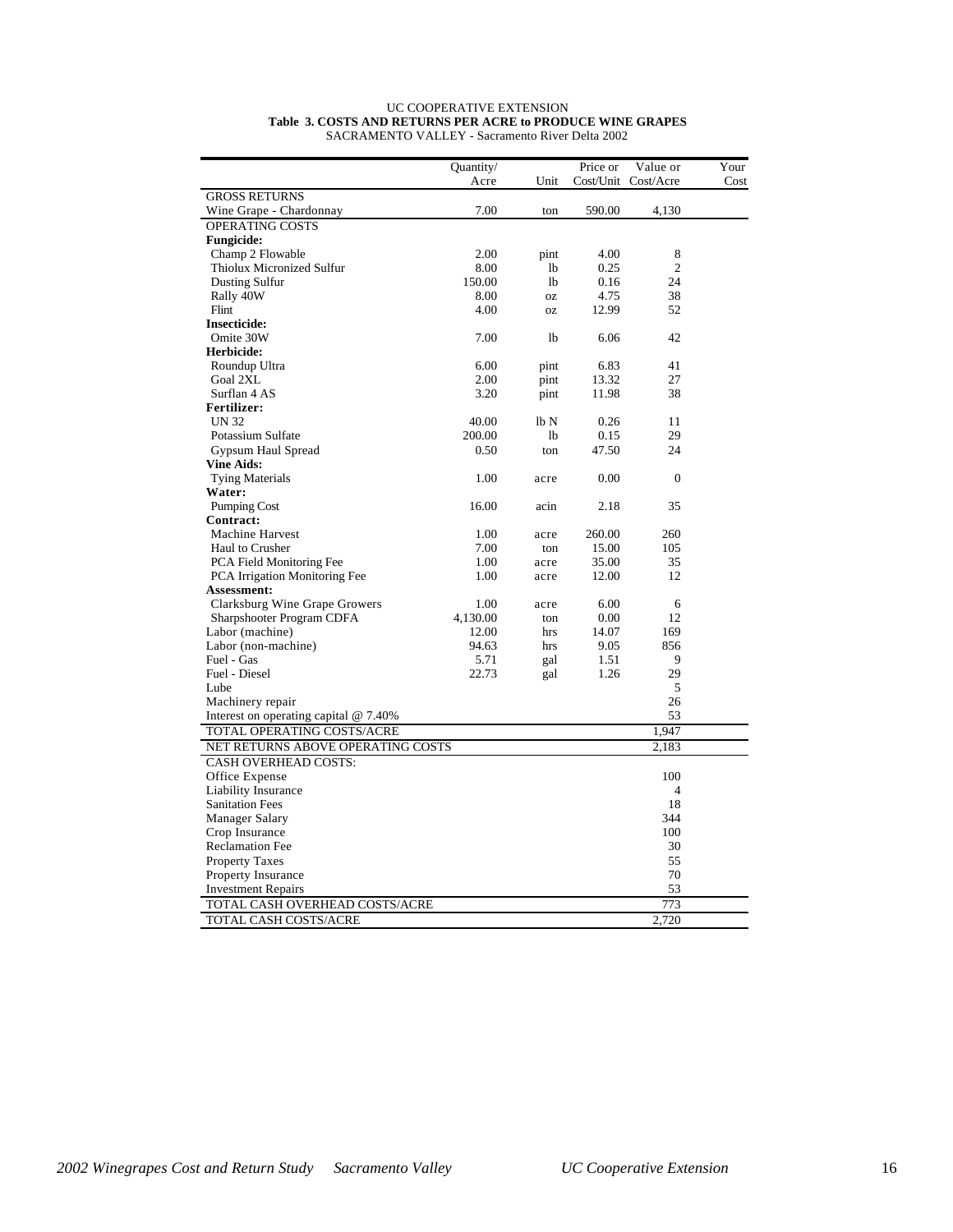|                                         | Quantity/ |                | Price or  | Value or       | Your |
|-----------------------------------------|-----------|----------------|-----------|----------------|------|
|                                         | Acre      | Unit           | Cost/Unit | Cost/Acre      | Cost |
| <b>GROSS RETURNS</b>                    |           |                |           |                |      |
| Wine Grape - Chardonnay                 | 7.00      | ton            | 590.00    | 4,130          |      |
| OPERATING COSTS                         |           |                |           |                |      |
| <b>Fungicide:</b>                       |           |                |           |                |      |
| Champ 2 Flowable                        | 2.00      | pint           | 4.00      | 8              |      |
| Thiolux Micronized Sulfur               | 8.00      | 1b             | 0.25      | $\overline{c}$ |      |
| Dusting Sulfur                          | 150.00    | 1 <sub>b</sub> | 0.16      | 24             |      |
| Rally 40W                               | 8.00      | <b>OZ</b>      | 4.75      | 38             |      |
| Flint                                   | 4.00      | <b>OZ</b>      | 12.99     | 52             |      |
| <b>Insecticide:</b>                     |           |                |           |                |      |
| Omite 30W                               | 7.00      | 1b             | 6.06      | 42             |      |
| Herbicide:                              |           |                |           |                |      |
| Roundup Ultra                           | 6.00      | pint           | 6.83      | 41             |      |
| Goal 2XL                                | 2.00      | pint           | 13.32     | 27             |      |
| Surflan 4 AS                            | 3.20      | pint           | 11.98     | 38             |      |
| <b>Fertilizer:</b>                      |           |                |           |                |      |
| <b>UN 32</b>                            | 40.00     | lb N           | 0.26      | 11             |      |
| Potassium Sulfate                       | 200.00    | lb             | 0.15      | 29             |      |
| Gypsum Haul Spread                      | 0.50      | ton            | 47.50     | 24             |      |
| <b>Vine Aids:</b>                       |           |                |           |                |      |
| <b>Tying Materials</b>                  | 1.00      | acre           | 0.00      | $\theta$       |      |
| Water:                                  |           |                |           |                |      |
| <b>Pumping Cost</b>                     | 16.00     | acin           | 2.18      | 35             |      |
| Contract:                               |           |                |           |                |      |
| <b>Machine Harvest</b>                  | 1.00      | acre           | 260.00    | 260            |      |
| Haul to Crusher                         | 7.00      | ton            | 15.00     | 105            |      |
| PCA Field Monitoring Fee                | 1.00      | acre           | 35.00     | 35             |      |
| PCA Irrigation Monitoring Fee           | 1.00      | acre           | 12.00     | 12             |      |
| <b>Assessment:</b>                      |           |                |           |                |      |
| Clarksburg Wine Grape Growers           | 1.00      | acre           | 6.00      | 6              |      |
| Sharpshooter Program CDFA               | 4,130.00  | ton            | 0.00      | 12             |      |
| Labor (machine)                         | 12.00     | hrs            | 14.07     | 169            |      |
| Labor (non-machine)                     | 94.63     | hrs            | 9.05      | 856            |      |
| Fuel - Gas                              | 5.71      | gal            | 1.51      | 9              |      |
| Fuel - Diesel                           | 22.73     | gal            | 1.26      | 29             |      |
| Lube                                    |           |                |           | 5              |      |
| Machinery repair                        |           |                |           | 26             |      |
| Interest on operating capital $@$ 7.40% |           |                |           | 53             |      |
| TOTAL OPERATING COSTS/ACRE              |           |                |           | 1,947          |      |
| NET RETURNS ABOVE OPERATING COSTS       |           |                |           | 2,183          |      |
| <b>CASH OVERHEAD COSTS:</b>             |           |                |           |                |      |
| Office Expense                          |           |                |           | 100            |      |
| Liability Insurance                     |           |                |           | $\overline{4}$ |      |
| <b>Sanitation Fees</b>                  |           |                |           | 18             |      |
| Manager Salary                          |           |                |           | 344            |      |
| Crop Insurance                          |           |                |           | 100            |      |
| <b>Reclamation Fee</b>                  |           |                |           | 30             |      |
| <b>Property Taxes</b>                   |           |                |           | 55             |      |
| Property Insurance                      |           |                |           | 70             |      |
| <b>Investment Repairs</b>               |           |                |           | 53             |      |
| TOTAL CASH OVERHEAD COSTS/ACRE          |           |                |           | 773            |      |
|                                         |           |                |           |                |      |
| TOTAL CASH COSTS/ACRE                   |           |                |           | 2,720          |      |

#### UC COOPERATIVE EXTENSION **Table 3. COSTS AND RETURNS PER ACRE to PRODUCE WINE GRAPES** SACRAMENTO VALLEY - Sacramento River Delta 2002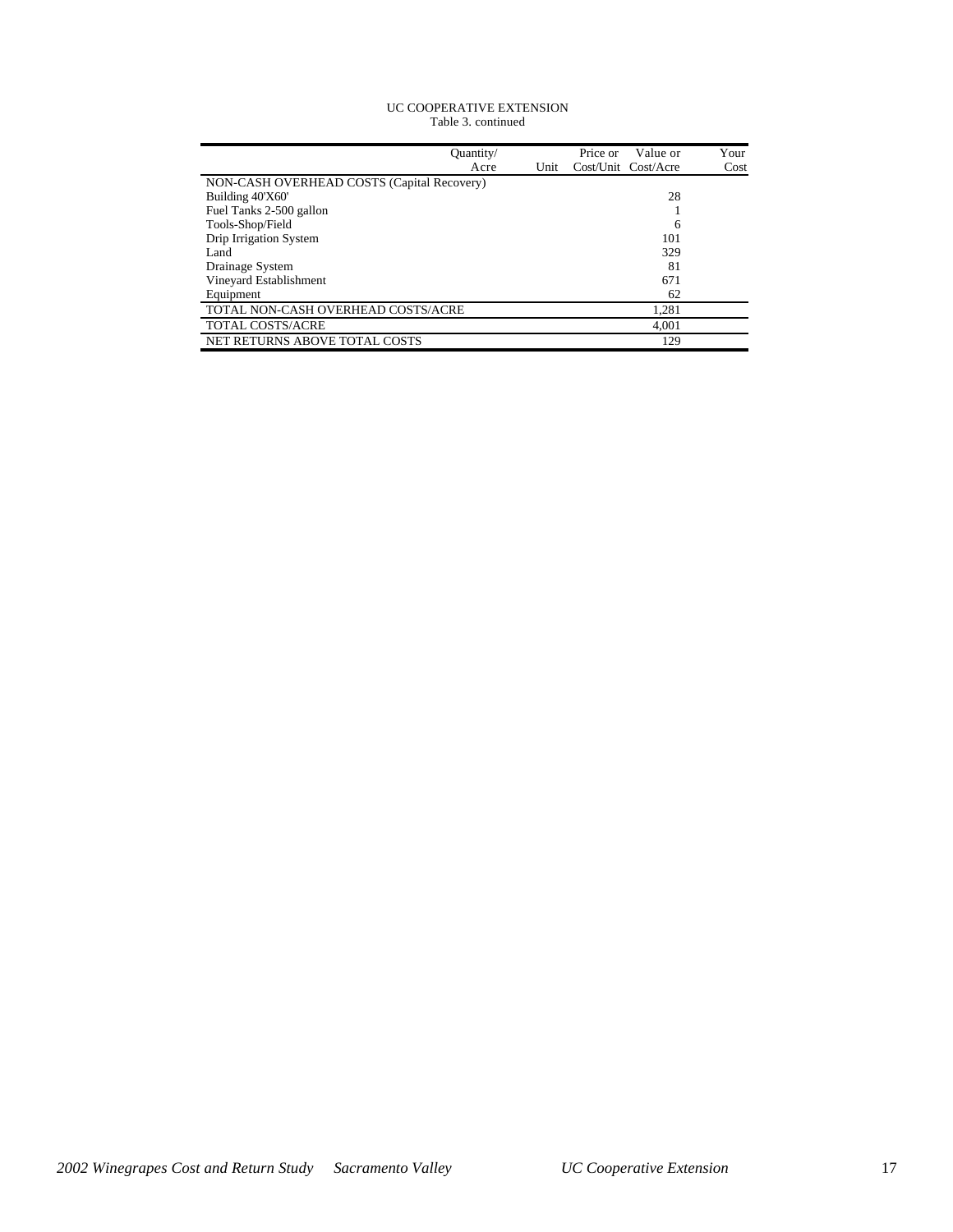#### UC COOPERATIVE EXTENSION Table 3. continued

| Ouantity/                                  | Price or | Value or            | Your |
|--------------------------------------------|----------|---------------------|------|
| Unit<br>Acre                               |          | Cost/Unit Cost/Acre | Cost |
| NON-CASH OVERHEAD COSTS (Capital Recovery) |          |                     |      |
| Building 40'X60'                           |          | 28                  |      |
| Fuel Tanks 2-500 gallon                    |          |                     |      |
| Tools-Shop/Field                           |          | 6                   |      |
| Drip Irrigation System                     |          | 101                 |      |
| Land                                       |          | 329                 |      |
| Drainage System                            |          | 81                  |      |
| Vineyard Establishment                     |          | 671                 |      |
| Equipment                                  |          | 62                  |      |
| TOTAL NON-CASH OVERHEAD COSTS/ACRE         |          | 1,281               |      |
| <b>TOTAL COSTS/ACRE</b>                    |          | 4,001               |      |
| NET RETURNS ABOVE TOTAL COSTS              |          | 129                 |      |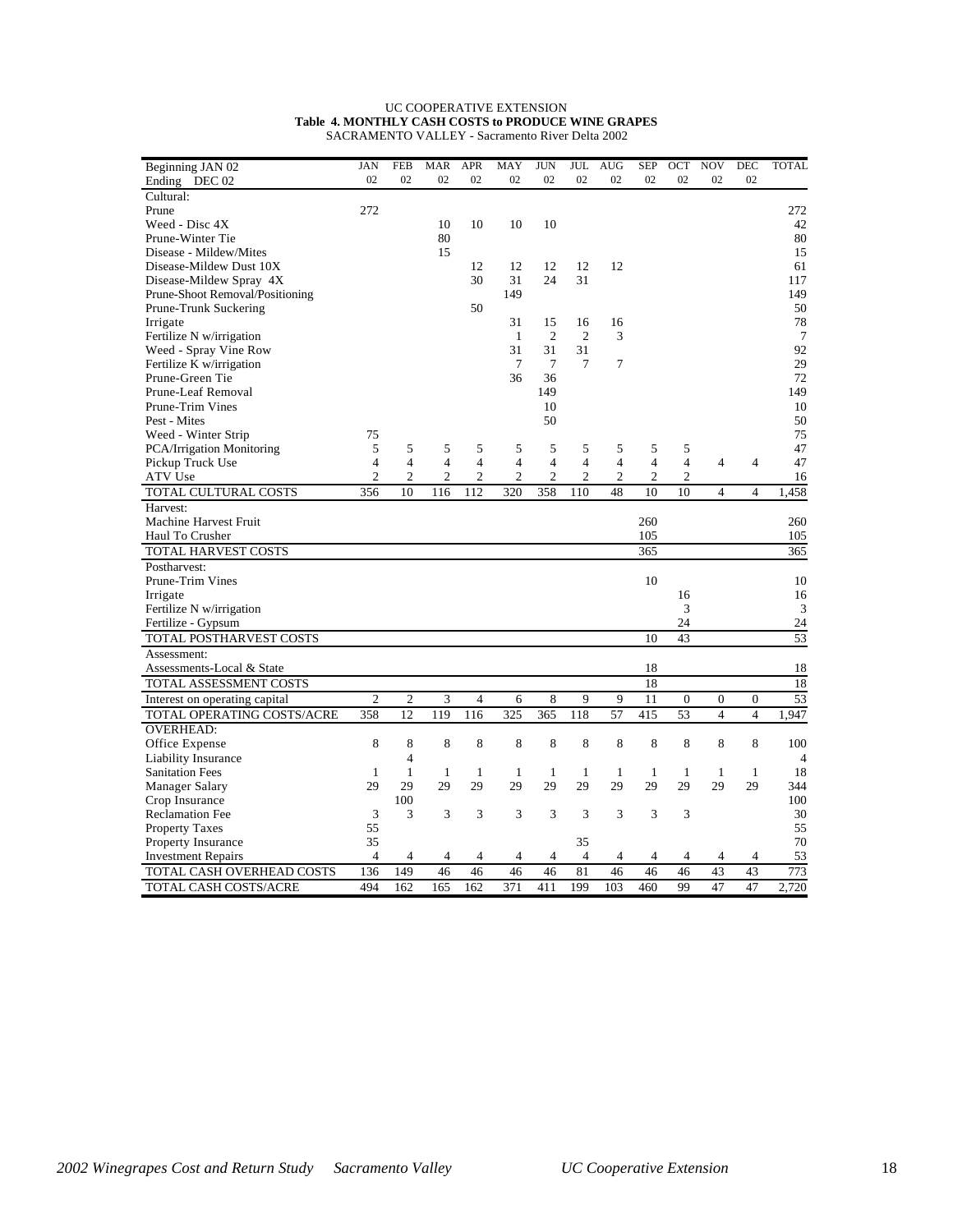#### UC COOPERATIVE EXTENSION **Table 4. MONTHLY CASH COSTS to PRODUCE WINE GRAPES** SACRAMENTO VALLEY - Sacramento River Delta 2002

| Beginning JAN 02                | <b>JAN</b>     | <b>FEB</b>     | <b>MAR</b>     | <b>APR</b>     | MAY            | <b>JUN</b>     | JUL            | <b>AUG</b>     | <b>SEP</b>     | OCT              | <b>NOV</b>       | <b>DEC</b>       | <b>TOTAL</b>   |
|---------------------------------|----------------|----------------|----------------|----------------|----------------|----------------|----------------|----------------|----------------|------------------|------------------|------------------|----------------|
| Ending DEC 02                   | 02             | 02             | 02             | 02             | 02             | 02             | 02             | 02             | 02             | 02               | 02               | 02               |                |
| Cultural:                       |                |                |                |                |                |                |                |                |                |                  |                  |                  |                |
| Prune                           | 272            |                |                |                |                |                |                |                |                |                  |                  |                  | 272            |
| Weed - Disc 4X                  |                |                | 10             | 10             | 10             | 10             |                |                |                |                  |                  |                  | 42             |
| Prune-Winter Tie                |                |                | 80             |                |                |                |                |                |                |                  |                  |                  | 80             |
| Disease - Mildew/Mites          |                |                | 15             |                |                |                |                |                |                |                  |                  |                  | 15             |
| Disease-Mildew Dust 10X         |                |                |                | 12             | 12             | 12             | 12             | 12             |                |                  |                  |                  | 61             |
| Disease-Mildew Spray 4X         |                |                |                | 30             | 31             | 24             | 31             |                |                |                  |                  |                  | 117            |
| Prune-Shoot Removal/Positioning |                |                |                |                | 149            |                |                |                |                |                  |                  |                  | 149            |
| Prune-Trunk Suckering           |                |                |                | 50             |                |                |                |                |                |                  |                  |                  | 50             |
| Irrigate                        |                |                |                |                | 31             | 15             | 16             | 16             |                |                  |                  |                  | 78             |
| Fertilize N w/irrigation        |                |                |                |                | 1              | $\overline{2}$ | $\overline{2}$ | 3              |                |                  |                  |                  | $\overline{7}$ |
| Weed - Spray Vine Row           |                |                |                |                | 31             | 31             | 31             |                |                |                  |                  |                  | 92             |
| Fertilize K w/irrigation        |                |                |                |                | 7              | 7              | 7              | 7              |                |                  |                  |                  | 29             |
| Prune-Green Tie                 |                |                |                |                | 36             | 36             |                |                |                |                  |                  |                  | 72             |
| Prune-Leaf Removal              |                |                |                |                |                | 149            |                |                |                |                  |                  |                  | 149            |
| Prune-Trim Vines                |                |                |                |                |                | 10             |                |                |                |                  |                  |                  | 10             |
| Pest - Mites                    |                |                |                |                |                | 50             |                |                |                |                  |                  |                  | 50             |
| Weed - Winter Strip             | 75             |                |                |                |                |                |                |                |                |                  |                  |                  | 75             |
| PCA/Irrigation Monitoring       | 5              | 5              | 5              | 5              | 5              | 5              | 5              | 5              | 5              | 5                |                  |                  | 47             |
| Pickup Truck Use                | 4              | 4              | $\overline{4}$ | 4              | 4              | $\overline{4}$ | $\overline{4}$ | 4              | $\overline{4}$ | $\overline{4}$   | $\overline{4}$   | 4                | 47             |
| ATV Use                         | $\overline{2}$ | $\overline{2}$ | $\overline{2}$ | $\overline{c}$ | $\overline{2}$ | $\overline{c}$ | $\overline{2}$ | $\overline{2}$ | $\overline{c}$ | $\overline{2}$   |                  |                  | 16             |
| TOTAL CULTURAL COSTS            | 356            | 10             | 116            | 112            | 320            | 358            | 110            | 48             | 10             | 10               | 4                | 4                | 1,458          |
| Harvest:                        |                |                |                |                |                |                |                |                |                |                  |                  |                  |                |
| Machine Harvest Fruit           |                |                |                |                |                |                |                |                | 260            |                  |                  |                  | 260            |
| Haul To Crusher                 |                |                |                |                |                |                |                |                | 105            |                  |                  |                  | 105            |
| TOTAL HARVEST COSTS             |                |                |                |                |                |                |                |                | 365            |                  |                  |                  | 365            |
| Postharvest:                    |                |                |                |                |                |                |                |                |                |                  |                  |                  |                |
| Prune-Trim Vines                |                |                |                |                |                |                |                |                | 10             |                  |                  |                  | 10             |
| Irrigate                        |                |                |                |                |                |                |                |                |                | 16               |                  |                  | 16             |
| Fertilize N w/irrigation        |                |                |                |                |                |                |                |                |                | 3                |                  |                  | 3              |
| Fertilize - Gypsum              |                |                |                |                |                |                |                |                |                | 24               |                  |                  | 24             |
| TOTAL POSTHARVEST COSTS         |                |                |                |                |                |                |                |                | 10             | 43               |                  |                  | 53             |
| Assessment:                     |                |                |                |                |                |                |                |                |                |                  |                  |                  |                |
| Assessments-Local & State       |                |                |                |                |                |                |                |                | 18             |                  |                  |                  | 18             |
| TOTAL ASSESSMENT COSTS          |                |                |                |                |                |                |                |                | 18             |                  |                  |                  | 18             |
| Interest on operating capital   | $\overline{c}$ | $\overline{c}$ | 3              | $\overline{4}$ | 6              | 8              | 9              | 9              | 11             | $\boldsymbol{0}$ | $\boldsymbol{0}$ | $\boldsymbol{0}$ | 53             |
| TOTAL OPERATING COSTS/ACRE      | 358            | 12             | 119            | 116            | 325            | 365            | 118            | 57             | 415            | 53               | $\overline{4}$   | $\overline{4}$   | 1.947          |
| <b>OVERHEAD:</b>                |                |                |                |                |                |                |                |                |                |                  |                  |                  |                |
| Office Expense                  | 8              | 8              | 8              | 8              | 8              | 8              | 8              | 8              | 8              | 8                | 8                | 8                | 100            |
| Liability Insurance             |                | $\overline{4}$ |                |                |                |                |                |                |                |                  |                  |                  | 4              |
| <b>Sanitation Fees</b>          | $\mathbf{1}$   | $\mathbf{1}$   | 1              | 1              | $\mathbf{1}$   | $\mathbf{1}$   | $\mathbf{1}$   | $\mathbf{1}$   | $\mathbf{1}$   | $\mathbf{1}$     | $\mathbf{1}$     | 1                | 18             |
| Manager Salary                  | 29             | 29             | 29             | 29             | 29             | 29             | 29             | 29             | 29             | 29               | 29               | 29               | 344            |
| Crop Insurance                  |                | 100            |                |                |                |                |                |                |                |                  |                  |                  | 100            |
| <b>Reclamation Fee</b>          | 3              | 3              | 3              | 3              | 3              | 3              | 3              | 3              | 3              | 3                |                  |                  | 30             |
| <b>Property Taxes</b>           | 55             |                |                |                |                |                |                |                |                |                  |                  |                  | 55             |
| Property Insurance              | 35             |                |                |                |                |                | 35             |                |                |                  |                  |                  | 70             |
| <b>Investment Repairs</b>       | $\overline{4}$ | 4              | $\overline{4}$ | 4              | 4              | 4              | $\overline{4}$ | 4              | 4              | 4                | 4                | 4                | 53             |
| TOTAL CASH OVERHEAD COSTS       | 136            | 149            | 46             | 46             | 46             | 46             | 81             | 46             | 46             | 46               | 43               | 43               | 773            |
| TOTAL CASH COSTS/ACRE           | 494            | 162            | 165            | 162            | 371            | 411            | 199            | 103            | 460            | 99               | 47               | 47               | 2,720          |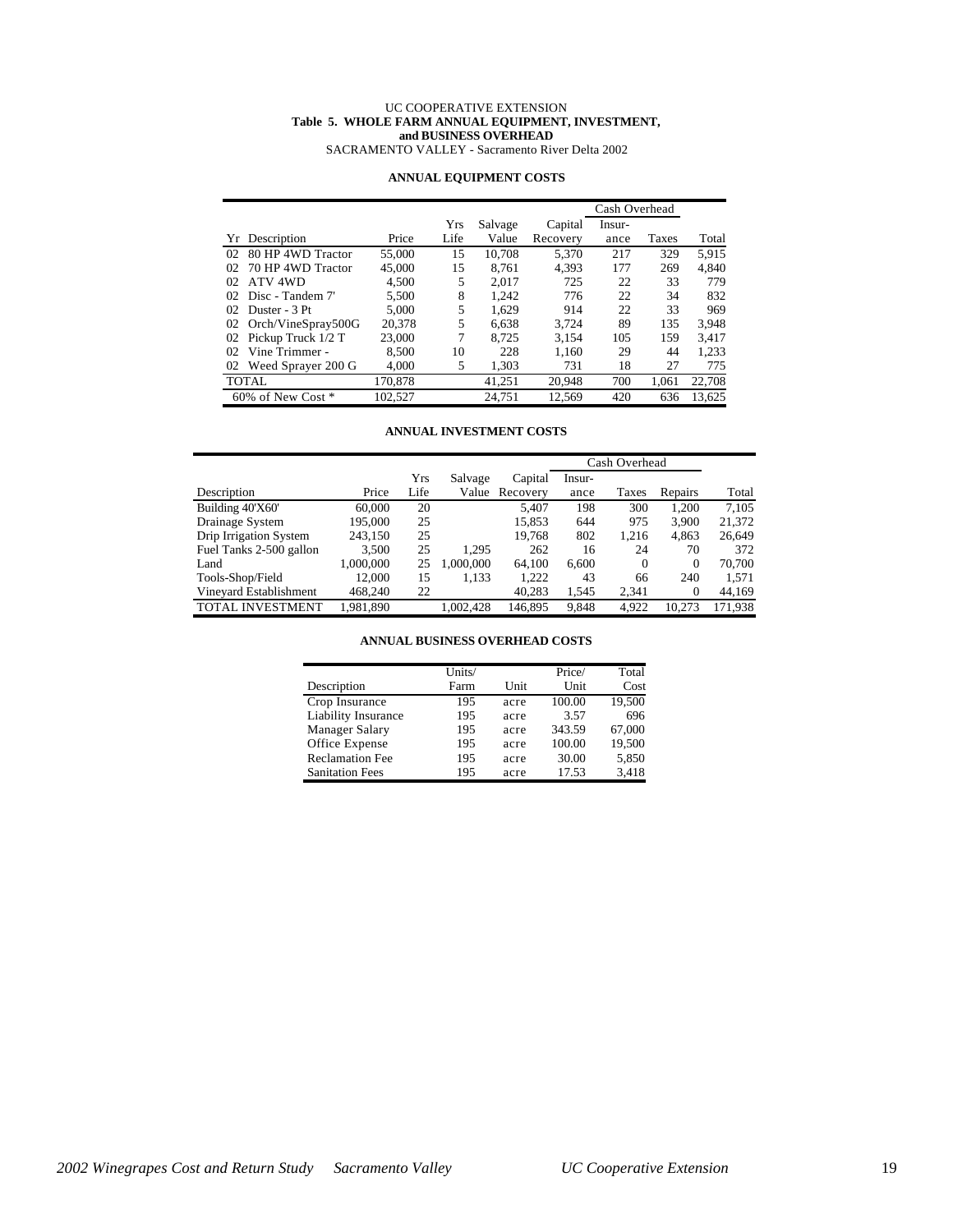#### UC COOPERATIVE EXTENSION **Table 5. WHOLE FARM ANNUAL EQUIPMENT, INVESTMENT, and BUSINESS OVERHEAD** SACRAMENTO VALLEY - Sacramento River Delta 2002

### **ANNUAL EQUIPMENT COSTS**

|    |                        |         |      |         |          | Cash Overhead |       |        |
|----|------------------------|---------|------|---------|----------|---------------|-------|--------|
|    |                        |         | Yrs  | Salvage | Capital  | Insur-        |       |        |
|    | Yr Description         | Price   | Life | Value   | Recovery | ance          | Taxes | Total  |
| 02 | 80 HP 4WD Tractor      | 55,000  | 15   | 10.708  | 5,370    | 217           | 329   | 5.915  |
| 02 | 70 HP 4WD Tractor      | 45,000  | 15   | 8.761   | 4,393    | 177           | 269   | 4,840  |
| 02 | ATV 4WD                | 4.500   | 5    | 2.017   | 725      | 22            | 33    | 779    |
| 02 | Disc - Tandem 7'       | 5.500   | 8    | 1.242   | 776      | 22            | 34    | 832    |
| 02 | Duster - 3 Pt          | 5.000   | 5    | 1.629   | 914      | 22            | 33    | 969    |
| 02 | Orch/VineSpray500G     | 20.378  | 5    | 6.638   | 3.724    | 89            | 135   | 3.948  |
| 02 | Pickup Truck 1/2 T     | 23,000  | 7    | 8.725   | 3,154    | 105           | 159   | 3.417  |
| 02 | Vine Trimmer -         | 8.500   | 10   | 228     | 1.160    | 29            | 44    | 1,233  |
| 02 | Weed Sprayer 200 G     | 4,000   | 5    | 1,303   | 731      | 18            | 27    | 775    |
|    | <b>TOTAL</b>           | 170.878 |      | 41.251  | 20.948   | 700           | 1.061 | 22,708 |
|    | $60\%$ of New Cost $*$ | 102.527 |      | 24.751  | 12.569   | 420           | 636   | 13.625 |

#### **ANNUAL INVESTMENT COSTS**

|                         |           |      |           |                | Cash Overhead |          |              |         |
|-------------------------|-----------|------|-----------|----------------|---------------|----------|--------------|---------|
|                         |           | Yrs  | Salvage   | Capital        | Insur-        |          |              |         |
| Description             | Price     | Life |           | Value Recovery | ance          | Taxes    | Repairs      | Total   |
| Building 40'X60'        | 60,000    | 20   |           | 5.407          | 198           | 300      | 1.200        | 7.105   |
| Drainage System         | 195.000   | 25   |           | 15.853         | 644           | 975      | 3.900        | 21,372  |
| Drip Irrigation System  | 243.150   | 25   |           | 19.768         | 802           | 1.216    | 4.863        | 26,649  |
| Fuel Tanks 2-500 gallon | 3.500     | 25   | 1.295     | 262            | 16            | 24       | 70           | 372     |
| Land                    | 1,000,000 | 25   | 1.000.000 | 64,100         | 6.600         | $\Omega$ | $\mathbf{0}$ | 70.700  |
| Tools-Shop/Field        | 12.000    | 15   | 1,133     | 1.222          | 43            | 66       | 240          | 1,571   |
| Vineyard Establishment  | 468,240   | 22   |           | 40,283         | 1,545         | 2,341    | $\Omega$     | 44,169  |
| <b>TOTAL INVESTMENT</b> | 1.981.890 |      | 1.002.428 | 146.895        | 9.848         | 4.922    | 10.273       | 171.938 |

**ANNUAL BUSINESS OVERHEAD COSTS**

|                        | Units/ |      | Price/ | Total  |
|------------------------|--------|------|--------|--------|
| Description            | Farm   | Unit | Unit   | Cost   |
| Crop Insurance         | 195    | acre | 100.00 | 19.500 |
| Liability Insurance    | 195    | acre | 3.57   | 696    |
| Manager Salary         | 195    | acre | 343.59 | 67,000 |
| Office Expense         | 195    | acre | 100.00 | 19,500 |
| <b>Reclamation Fee</b> | 195    | acre | 30.00  | 5,850  |
| <b>Sanitation Fees</b> | 195    | acre | 17.53  | 3,418  |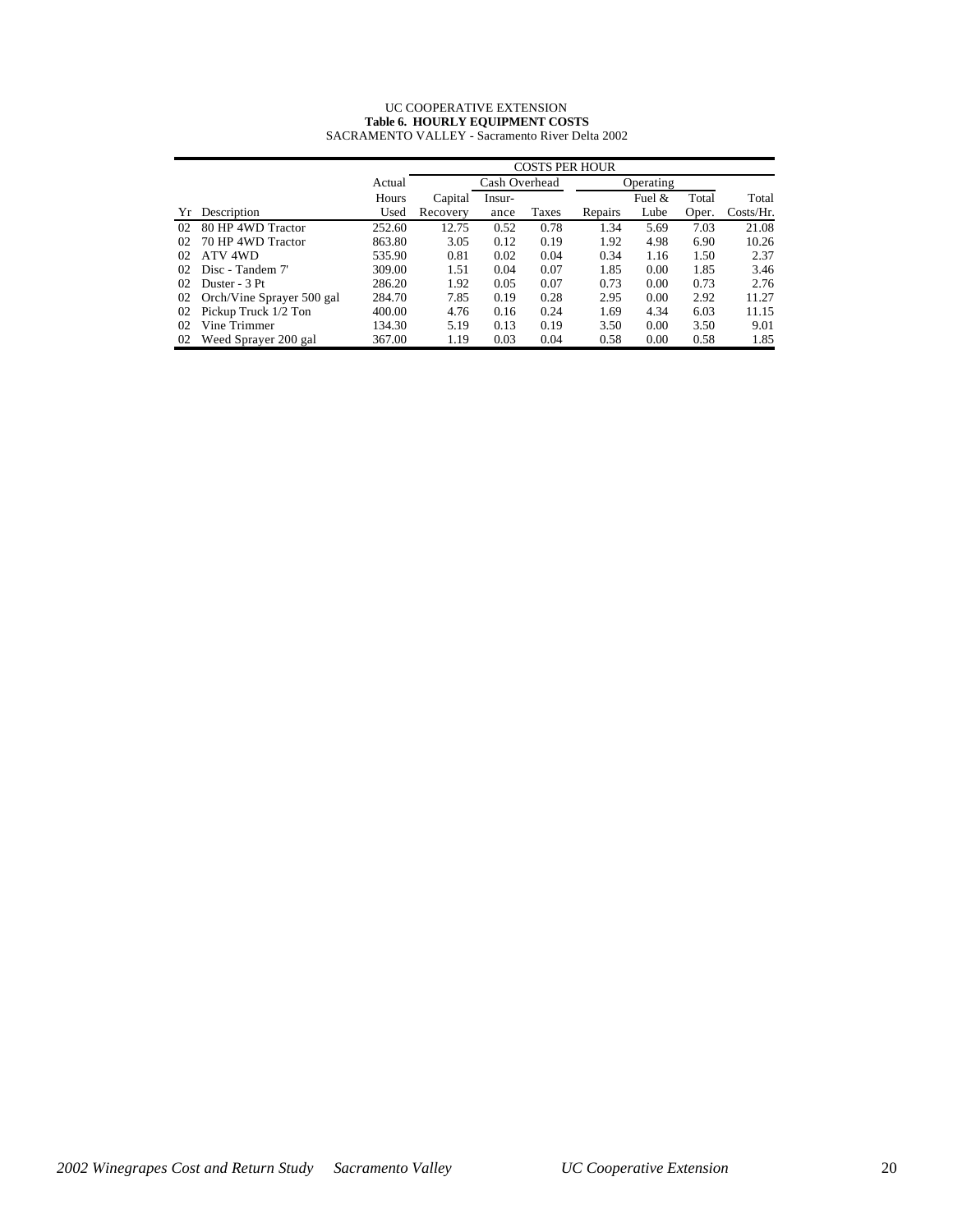#### UC COOPERATIVE EXTENSION **Table 6. HOURLY EQUIPMENT COSTS** SACRAMENTO VALLEY - Sacramento River Delta 2002

|    |                           |        | <b>COSTS PER HOUR</b> |        |       |         |           |       |              |  |  |  |
|----|---------------------------|--------|-----------------------|--------|-------|---------|-----------|-------|--------------|--|--|--|
|    |                           | Actual | Cash Overhead         |        |       |         | Operating |       |              |  |  |  |
|    |                           | Hours  | Capital               | Insur- |       |         | Fuel $\&$ | Total | Total        |  |  |  |
| Yr | Description               | Used   | Recovery              | ance   | Taxes | Repairs | Lube      | Oper. | $Costs/Hr$ . |  |  |  |
| 02 | 80 HP 4WD Tractor         | 252.60 | 12.75                 | 0.52   | 0.78  | 1.34    | 5.69      | 7.03  | 21.08        |  |  |  |
| 02 | 70 HP 4WD Tractor         | 863.80 | 3.05                  | 0.12   | 0.19  | 1.92    | 4.98      | 6.90  | 10.26        |  |  |  |
| 02 | ATV 4WD                   | 535.90 | 0.81                  | 0.02   | 0.04  | 0.34    | 1.16      | 1.50  | 2.37         |  |  |  |
| 02 | Disc - Tandem 7'          | 309.00 | 1.51                  | 0.04   | 0.07  | 1.85    | 0.00      | 1.85  | 3.46         |  |  |  |
| 02 | Duster - 3 Pt             | 286.20 | 1.92                  | 0.05   | 0.07  | 0.73    | 0.00      | 0.73  | 2.76         |  |  |  |
| 02 | Orch/Vine Sprayer 500 gal | 284.70 | 7.85                  | 0.19   | 0.28  | 2.95    | 0.00      | 2.92  | 11.27        |  |  |  |
| 02 | Pickup Truck 1/2 Ton      | 400.00 | 4.76                  | 0.16   | 0.24  | 1.69    | 4.34      | 6.03  | 11.15        |  |  |  |
| 02 | Vine Trimmer              | 134.30 | 5.19                  | 0.13   | 0.19  | 3.50    | 0.00      | 3.50  | 9.01         |  |  |  |
| 02 | Weed Sprayer 200 gal      | 367.00 | 1.19                  | 0.03   | 0.04  | 0.58    | 0.00      | 0.58  | 1.85         |  |  |  |